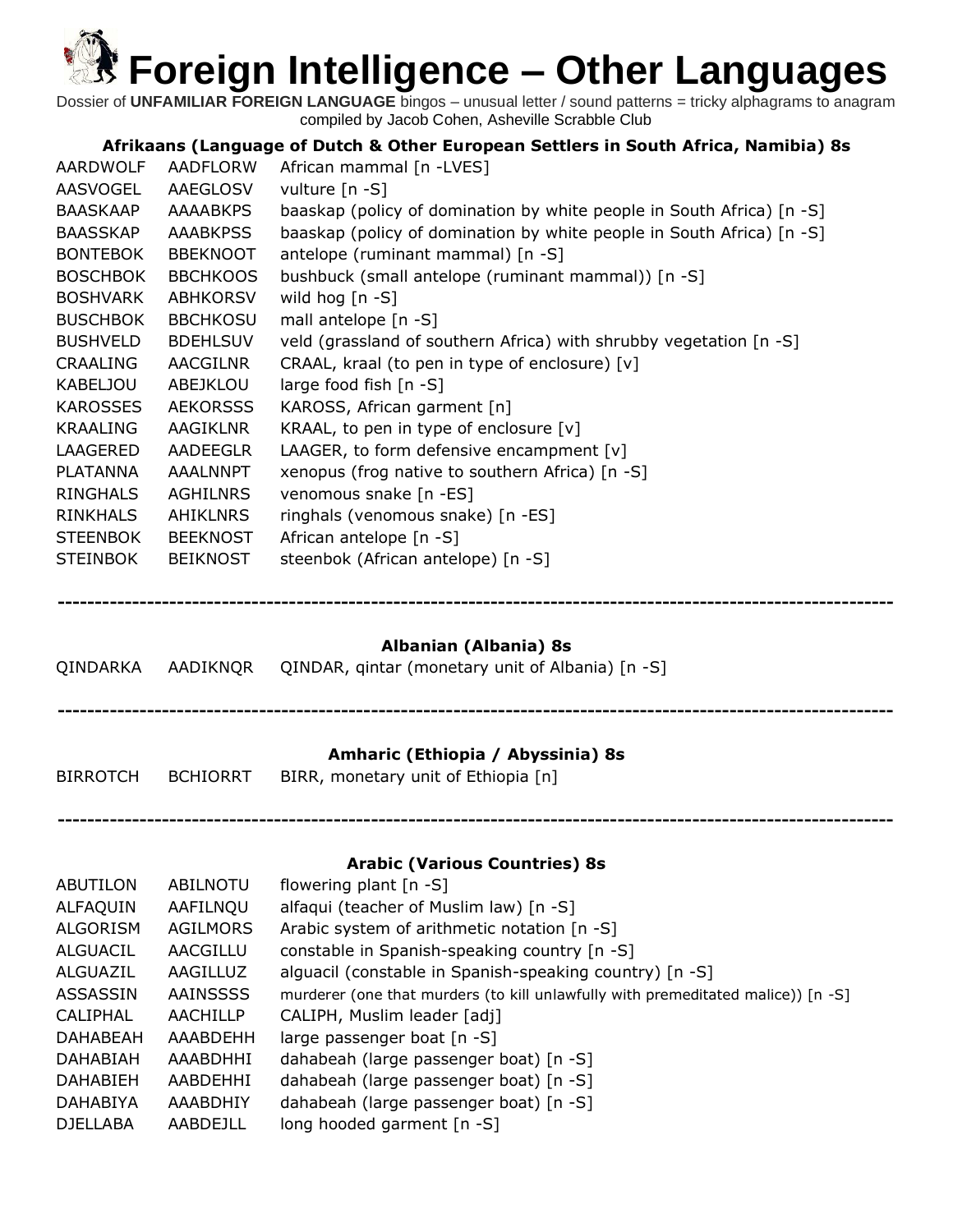Dossier of **UNFAMILIAR FOREIGN LANGUAGE** bingos – unusual letter / sound patterns = tricky alphagrams to anagram compiled by Jacob Cohen, Asheville Scrabble Club

#### **Afrikaans (Language of Dutch & Other European Settlers in South Africa, Namibia) 8s**

| AARDWOLF        | AADFLORW        | African mammal [n -LVES]                                              |
|-----------------|-----------------|-----------------------------------------------------------------------|
| AASVOGEL        | AAEGLOSV        | vulture [n -S]                                                        |
| BAASKAAP        | <b>AAAABKPS</b> | baaskap (policy of domination by white people in South Africa) [n -S] |
| <b>BAASSKAP</b> | <b>AAABKPSS</b> | baaskap (policy of domination by white people in South Africa) [n -S] |
| <b>BONTEBOK</b> | <b>BBEKNOOT</b> | antelope (ruminant mammal) [n -S]                                     |
| <b>BOSCHBOK</b> | <b>BBCHKOOS</b> | bushbuck (small antelope (ruminant mammal)) [n -S]                    |
| <b>BOSHVARK</b> | <b>ABHKORSV</b> | wild hog $[n - S]$                                                    |
| <b>BUSCHBOK</b> | <b>BBCHKOSU</b> | mall antelope [n -S]                                                  |
| <b>BUSHVELD</b> | <b>BDEHLSUV</b> | veld (grassland of southern Africa) with shrubby vegetation [n -S]    |
| CRAALING        | AACGILNR        | CRAAL, kraal (to pen in type of enclosure) [v]                        |
| KABELJOU        | ABEJKLOU        | large food fish $[n - S]$                                             |
| KAROSSES        | <b>AEKORSSS</b> | KAROSS, African garment [n]                                           |
| <b>KRAALING</b> | AAGIKLNR        | KRAAL, to pen in type of enclosure $[v]$                              |
| LAAGERED        | AADEEGLR        | LAAGER, to form defensive encampment $[v]$                            |
| PLATANNA        | AAALNNPT        | xenopus (frog native to southern Africa) [n -S]                       |
| RINGHALS        | AGHILNRS        | venomous snake [n -ES]                                                |
| <b>RINKHALS</b> | <b>AHIKLNRS</b> | ringhals (venomous snake) [n -ES]                                     |
| <b>STEENBOK</b> | <b>BEEKNOST</b> | African antelope $[n - S]$                                            |
| <b>STEINBOK</b> | <b>BEIKNOST</b> | steenbok (African antelope) [n -S]                                    |

### **Albanian (Albania) 8s**

**----------------------------------------------------------------------------------------------------------------**

|          |                 | QINDARKA AADIKNQR QINDAR, gintar (monetary unit of Albania) [n -S]       |
|----------|-----------------|--------------------------------------------------------------------------|
| BIRROTCH | <b>BCHIORRT</b> | Amharic (Ethiopia / Abyssinia) 8s<br>BIRR, monetary unit of Ethiopia [n] |
|          |                 |                                                                          |

#### **Arabic (Various Countries) 8s**

| ABUTILON        | ABILNOTU        | flowering plant $[n - S]$                                                        |
|-----------------|-----------------|----------------------------------------------------------------------------------|
| ALFAQUIN        | AAFILNQU        | alfaqui (teacher of Muslim law) [n -S]                                           |
| <b>ALGORISM</b> | AGILMORS        | Arabic system of arithmetic notation [n -S]                                      |
| ALGUACIL        | AACGILLU        | constable in Spanish-speaking country [n -S]                                     |
| ALGUAZIL        | AAGILLUZ        | alguacil (constable in Spanish-speaking country) [n -S]                          |
| <b>ASSASSIN</b> | <b>AAINSSSS</b> | murderer (one that murders (to kill unlawfully with premeditated malice)) [n -S] |
| <b>CALIPHAL</b> | <b>AACHILLP</b> | CALIPH, Muslim leader [adj]                                                      |
| <b>DAHABEAH</b> | AAABDEHH        | large passenger boat $[n - S]$                                                   |
| <b>DAHABIAH</b> | AAABDHHI        | dahabeah (large passenger boat) [n -S]                                           |
| <b>DAHABIEH</b> | AABDEHHI        | dahabeah (large passenger boat) [n -S]                                           |
| <b>DAHABIYA</b> | AAABDHIY        | dahabeah (large passenger boat) [n -S]                                           |
| <b>DJELLABA</b> | AABDEJLL        | long hooded garment [n -S]                                                       |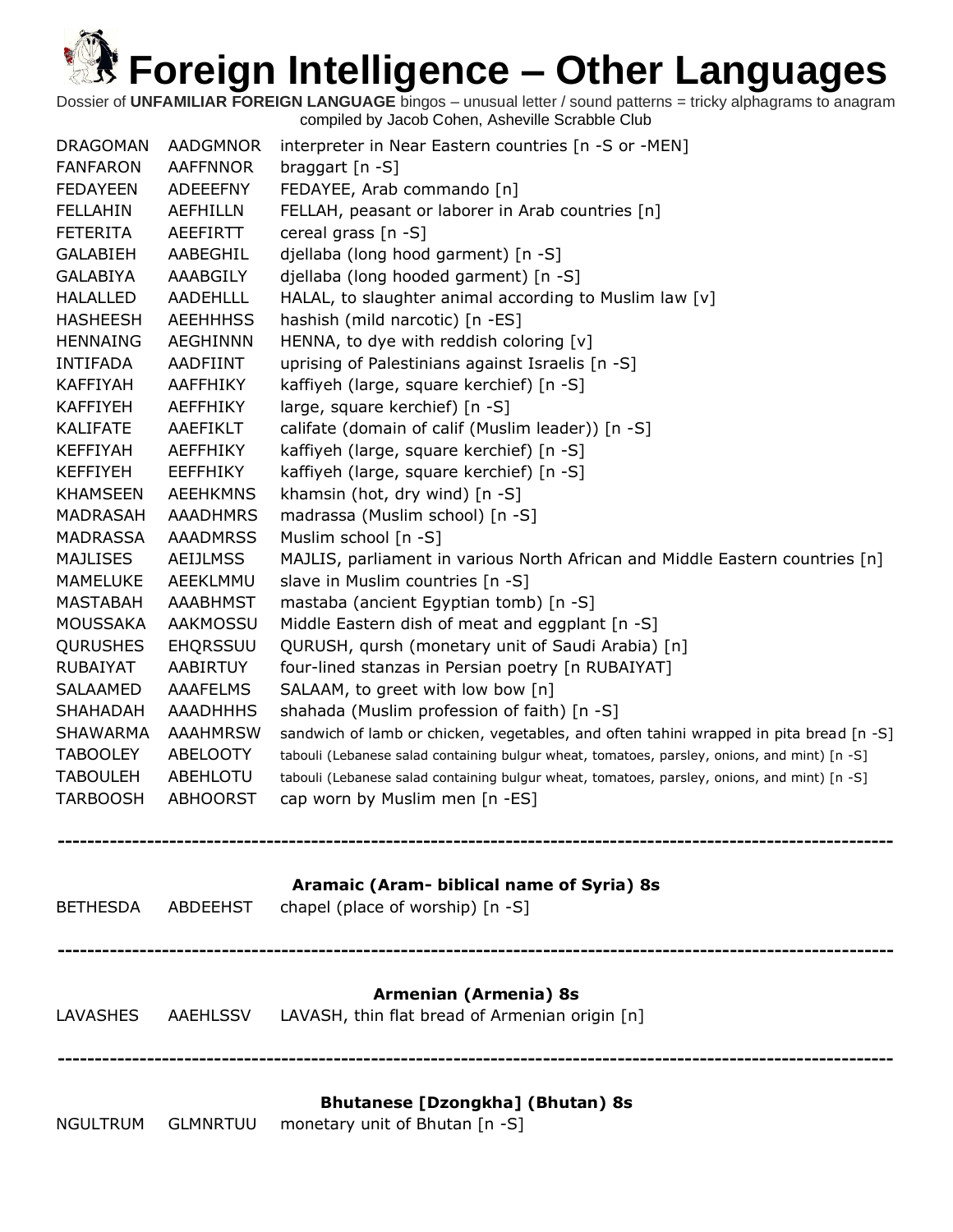Dossier of **UNFAMILIAR FOREIGN LANGUAGE** bingos – unusual letter / sound patterns = tricky alphagrams to anagram compiled by Jacob Cohen, Asheville Scrabble Club

| <b>DRAGOMAN</b><br><b>FANFARON</b><br><b>FEDAYEEN</b> | AADGMNOR<br><b>AAFFNNOR</b><br><b>ADEEEFNY</b> | interpreter in Near Eastern countries [n -S or -MEN]<br>braggart $[n -S]$<br>FEDAYEE, Arab commando [n] |
|-------------------------------------------------------|------------------------------------------------|---------------------------------------------------------------------------------------------------------|
| <b>FELLAHIN</b>                                       | <b>AEFHILLN</b>                                | FELLAH, peasant or laborer in Arab countries [n]                                                        |
| <b>FETERITA</b>                                       | <b>AEEFIRTT</b>                                | cereal grass [n -S]                                                                                     |
| <b>GALABIEH</b>                                       | AABEGHIL                                       | djellaba (long hood garment) [n -S]                                                                     |
| <b>GALABIYA</b>                                       | AAABGILY                                       | djellaba (long hooded garment) [n -S]                                                                   |
| <b>HALALLED</b>                                       | <b>AADEHLLL</b>                                | HALAL, to slaughter animal according to Muslim law [v]                                                  |
| <b>HASHEESH</b>                                       | <b>AEEHHHSS</b>                                | hashish (mild narcotic) [n -ES]                                                                         |
| <b>HENNAING</b>                                       | <b>AEGHINNN</b>                                | HENNA, to dye with reddish coloring [v]                                                                 |
| <b>INTIFADA</b>                                       | AADFIINT                                       | uprising of Palestinians against Israelis [n -S]                                                        |
| <b>KAFFIYAH</b>                                       | AAFFHIKY                                       | kaffiyeh (large, square kerchief) [n -S]                                                                |
| <b>KAFFIYEH</b>                                       | AEFFHIKY                                       | large, square kerchief) [n -S]                                                                          |
| <b>KALIFATE</b>                                       | AAEFIKLT                                       | califate (domain of calif (Muslim leader)) [n -S]                                                       |
| <b>KEFFIYAH</b>                                       | <b>AEFFHIKY</b>                                | kaffiyeh (large, square kerchief) [n -S]                                                                |
| <b>KEFFIYEH</b>                                       | <b>EEFFHIKY</b>                                | kaffiyeh (large, square kerchief) [n -S]                                                                |
| <b>KHAMSEEN</b>                                       | <b>AEEHKMNS</b>                                | khamsin (hot, dry wind) [n -S]                                                                          |
| <b>MADRASAH</b>                                       | <b>AAADHMRS</b>                                | madrassa (Muslim school) [n -S]                                                                         |
| <b>MADRASSA</b><br><b>MAJLISES</b>                    | <b>AAADMRSS</b><br><b>AEIJLMSS</b>             | Muslim school [n -S]<br>MAJLIS, parliament in various North African and Middle Eastern countries [n]    |
| <b>MAMELUKE</b>                                       | AEEKLMMU                                       | slave in Muslim countries [n -S]                                                                        |
| <b>MASTABAH</b>                                       | <b>AAABHMST</b>                                | mastaba (ancient Egyptian tomb) [n -S]                                                                  |
| <b>MOUSSAKA</b>                                       | <b>AAKMOSSU</b>                                | Middle Eastern dish of meat and eggplant [n -S]                                                         |
| <b>QURUSHES</b>                                       | <b>EHQRSSUU</b>                                | QURUSH, qursh (monetary unit of Saudi Arabia) [n]                                                       |
| RUBAIYAT                                              | AABIRTUY                                       | four-lined stanzas in Persian poetry [n RUBAIYAT]                                                       |
| <b>SALAAMED</b>                                       | <b>AAAFELMS</b>                                | SALAAM, to greet with low bow [n]                                                                       |
| SHAHADAH                                              | <b>AAADHHHS</b>                                | shahada (Muslim profession of faith) [n -S]                                                             |
| <b>SHAWARMA</b>                                       | <b>AAAHMRSW</b>                                | sandwich of lamb or chicken, vegetables, and often tahini wrapped in pita bread [n -S]                  |
| <b>TABOOLEY</b>                                       | <b>ABELOOTY</b>                                | tabouli (Lebanese salad containing bulgur wheat, tomatoes, parsley, onions, and mint) [n -S]            |
| <b>TABOULEH</b>                                       | ABEHLOTU                                       | tabouli (Lebanese salad containing bulgur wheat, tomatoes, parsley, onions, and mint) [n -S]            |
| <b>TARBOOSH</b>                                       | <b>ABHOORST</b>                                | cap worn by Muslim men [n -ES]                                                                          |
|                                                       |                                                |                                                                                                         |
| <b>BETHESDA</b>                                       | ABDEEHST                                       | Aramaic (Aram- biblical name of Syria) 8s<br>chapel (place of worship) [n -S]                           |
|                                                       |                                                |                                                                                                         |
|                                                       |                                                | Armenian (Armenia) 8s                                                                                   |
| LAVASHES                                              | AAEHLSSV                                       | LAVASH, thin flat bread of Armenian origin [n]                                                          |

#### **Bhutanese [Dzongkha] (Bhutan) 8s**

NGULTRUM GLMNRTUU monetary unit of Bhutan [n -S]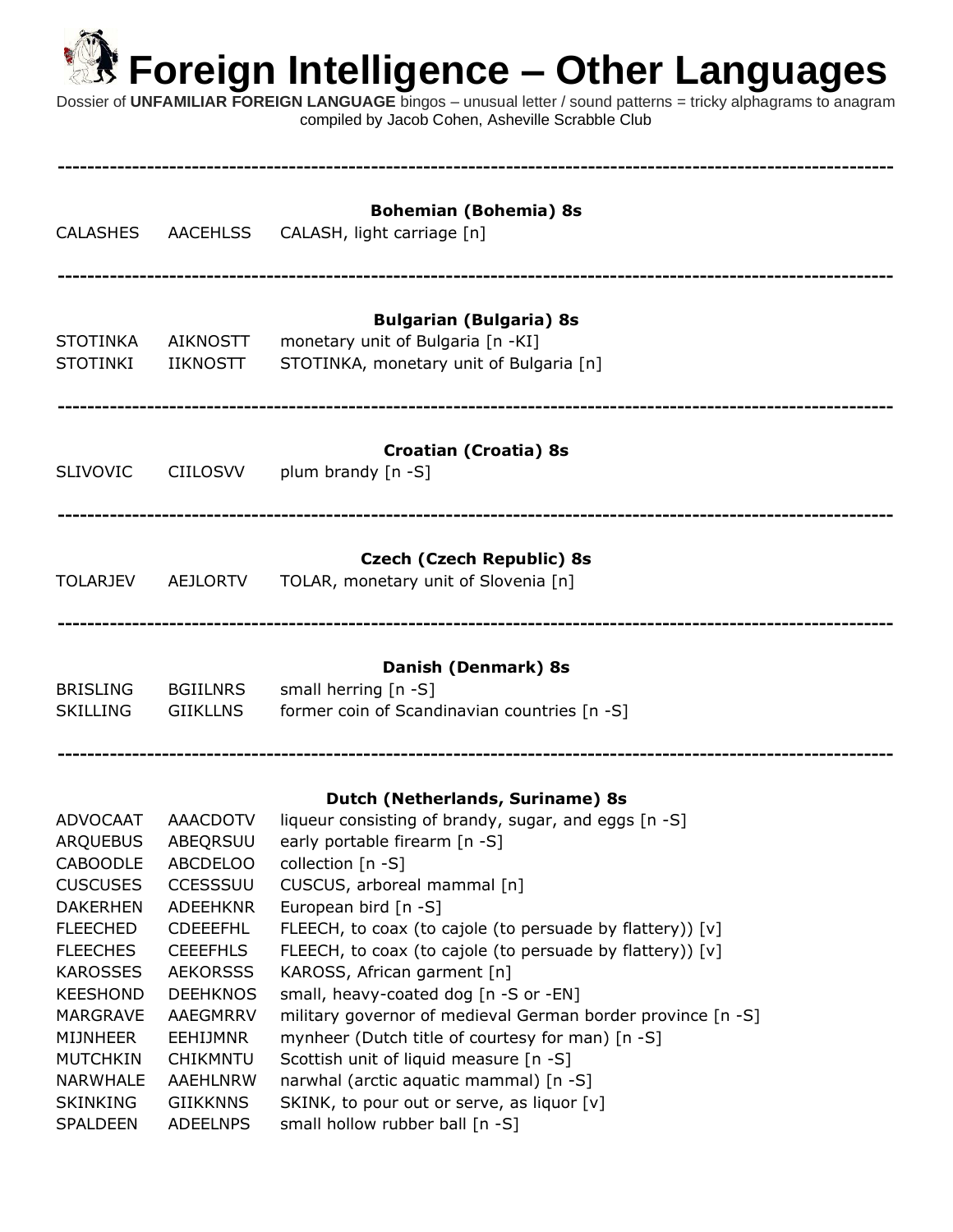**----------------------------------------------------------------------------------------------------------------**

Dossier of **UNFAMILIAR FOREIGN LANGUAGE** bingos – unusual letter / sound patterns = tricky alphagrams to anagram compiled by Jacob Cohen, Asheville Scrabble Club

| <b>CALASHES</b>                                                                                                                                                                                                                                               | <b>AACEHLSS</b>                                                                                                                                                                                                                                        | <b>Bohemian (Bohemia) 8s</b><br>CALASH, light carriage [n]                                                                                                                                                                                                                                                                                                                                                                                                                                                                                                                                                                                                                                      |
|---------------------------------------------------------------------------------------------------------------------------------------------------------------------------------------------------------------------------------------------------------------|--------------------------------------------------------------------------------------------------------------------------------------------------------------------------------------------------------------------------------------------------------|-------------------------------------------------------------------------------------------------------------------------------------------------------------------------------------------------------------------------------------------------------------------------------------------------------------------------------------------------------------------------------------------------------------------------------------------------------------------------------------------------------------------------------------------------------------------------------------------------------------------------------------------------------------------------------------------------|
| <b>STOTINKA</b><br><b>STOTINKI</b>                                                                                                                                                                                                                            | <b>AIKNOSTT</b><br><b>IIKNOSTT</b>                                                                                                                                                                                                                     | <b>Bulgarian (Bulgaria) 8s</b><br>monetary unit of Bulgaria [n -KI]<br>STOTINKA, monetary unit of Bulgaria [n]                                                                                                                                                                                                                                                                                                                                                                                                                                                                                                                                                                                  |
| <b>SLIVOVIC</b>                                                                                                                                                                                                                                               | <b>CIILOSVV</b>                                                                                                                                                                                                                                        | <b>Croatian (Croatia) 8s</b><br>plum brandy [n -S]                                                                                                                                                                                                                                                                                                                                                                                                                                                                                                                                                                                                                                              |
| <b>TOLARJEV</b>                                                                                                                                                                                                                                               | <b>AEJLORTV</b>                                                                                                                                                                                                                                        | <b>Czech (Czech Republic) 8s</b><br>TOLAR, monetary unit of Slovenia [n]                                                                                                                                                                                                                                                                                                                                                                                                                                                                                                                                                                                                                        |
| <b>BRISLING</b><br><b>SKILLING</b>                                                                                                                                                                                                                            | <b>BGIILNRS</b><br><b>GIIKLLNS</b>                                                                                                                                                                                                                     | Danish (Denmark) 8s<br>small herring [n -S]<br>former coin of Scandinavian countries [n -S]                                                                                                                                                                                                                                                                                                                                                                                                                                                                                                                                                                                                     |
| ADVOCAAT<br>ARQUEBUS<br><b>CABOODLE</b><br><b>CUSCUSES</b><br><b>DAKERHEN</b><br><b>FLEECHED</b><br><b>FLEECHES</b><br><b>KAROSSES</b><br><b>KEESHOND</b><br>MARGRAVE<br><b>MIJNHEER</b><br><b>MUTCHKIN</b><br>NARWHALE<br><b>SKINKING</b><br><b>SPALDEEN</b> | AAACDOTV<br>ABEQRSUU<br><b>ABCDELOO</b><br>CCESSSUU<br><b>ADEEHKNR</b><br><b>CDEEEFHL</b><br><b>CEEEFHLS</b><br><b>AEKORSSS</b><br><b>DEEHKNOS</b><br>AAEGMRRV<br><b>EEHIJMNR</b><br><b>CHIKMNTU</b><br>AAEHLNRW<br><b>GIIKKNNS</b><br><b>ADEELNPS</b> | Dutch (Netherlands, Suriname) 8s<br>liqueur consisting of brandy, sugar, and eggs [n -S]<br>early portable firearm [n -S]<br>collection [n -S]<br>CUSCUS, arboreal mammal [n]<br>European bird [n -S]<br>FLEECH, to coax (to cajole (to persuade by flattery)) [v]<br>FLEECH, to coax (to cajole (to persuade by flattery)) [v]<br>KAROSS, African garment [n]<br>small, heavy-coated dog [n -S or -EN]<br>military governor of medieval German border province [n -S]<br>mynheer (Dutch title of courtesy for man) [n -S]<br>Scottish unit of liquid measure [n -S]<br>narwhal (arctic aquatic mammal) [n -S]<br>SKINK, to pour out or serve, as liquor [v]<br>small hollow rubber ball [n -S] |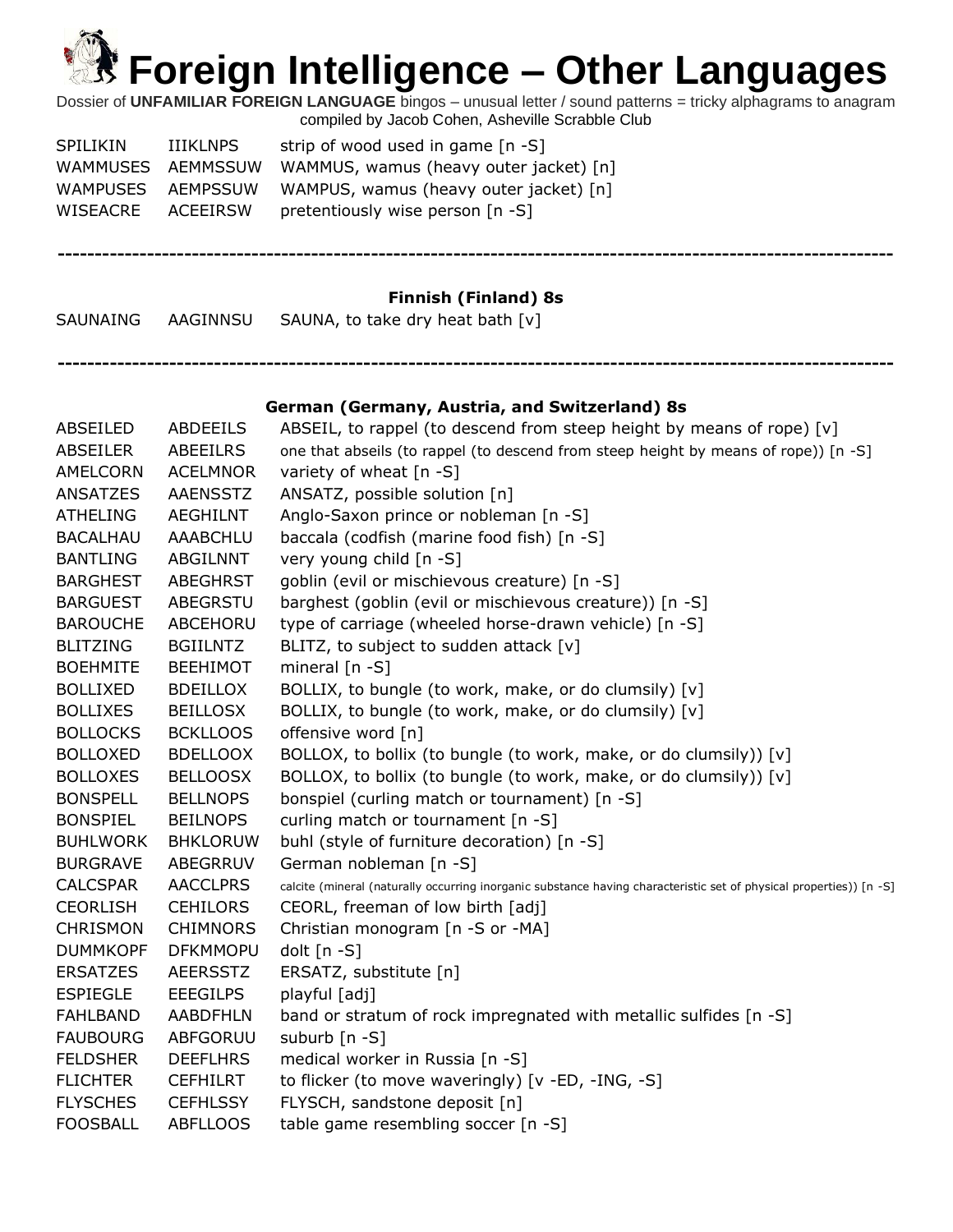Dossier of **UNFAMILIAR FOREIGN LANGUAGE** bingos – unusual letter / sound patterns = tricky alphagrams to anagram compiled by Jacob Cohen, Asheville Scrabble Club

| <b>SPILIKIN</b>   | IIIKLNPS | strip of wood used in game $[n -S]$    |
|-------------------|----------|----------------------------------------|
| WAMMUSES AEMMSSUW |          | WAMMUS, wamus (heavy outer jacket) [n] |
| WAMPUSES AEMPSSUW |          | WAMPUS, wamus (heavy outer jacket) [n] |
| WISEACRE          | ACEEIRSW | pretentiously wise person [n -S]       |

### **Finnish (Finland) 8s**

**----------------------------------------------------------------------------------------------------------------**

**----------------------------------------------------------------------------------------------------------------**

SAUNAING AAGINNSU SAUNA, to take dry heat bath [v]

#### **German (Germany, Austria, and Switzerland) 8s**

| <b>ABSEILED</b> | <b>ABDEEILS</b> | ABSEIL, to rappel (to descend from steep height by means of rope) [v]                                               |
|-----------------|-----------------|---------------------------------------------------------------------------------------------------------------------|
| <b>ABSEILER</b> | ABEEILRS        | one that abseils (to rappel (to descend from steep height by means of rope)) [n -S]                                 |
| AMELCORN        | <b>ACELMNOR</b> | variety of wheat [n -S]                                                                                             |
| <b>ANSATZES</b> | <b>AAENSSTZ</b> | ANSATZ, possible solution [n]                                                                                       |
| <b>ATHELING</b> | <b>AEGHILNT</b> | Anglo-Saxon prince or nobleman [n -S]                                                                               |
| <b>BACALHAU</b> | AAABCHLU        | baccala (codfish (marine food fish) [n -S]                                                                          |
| <b>BANTLING</b> | ABGILNNT        | very young child [n -S]                                                                                             |
| <b>BARGHEST</b> | <b>ABEGHRST</b> | goblin (evil or mischievous creature) [n -S]                                                                        |
| <b>BARGUEST</b> | ABEGRSTU        | barghest (goblin (evil or mischievous creature)) [n -S]                                                             |
| <b>BAROUCHE</b> | ABCEHORU        | type of carriage (wheeled horse-drawn vehicle) [n -S]                                                               |
| <b>BLITZING</b> | <b>BGIILNTZ</b> | BLITZ, to subject to sudden attack [v]                                                                              |
| <b>BOEHMITE</b> | <b>BEEHIMOT</b> | mineral $[n - S]$                                                                                                   |
| <b>BOLLIXED</b> | <b>BDEILLOX</b> | BOLLIX, to bungle (to work, make, or do clumsily) [v]                                                               |
| <b>BOLLIXES</b> | <b>BEILLOSX</b> | BOLLIX, to bungle (to work, make, or do clumsily) [v]                                                               |
| <b>BOLLOCKS</b> | <b>BCKLLOOS</b> | offensive word [n]                                                                                                  |
| <b>BOLLOXED</b> | <b>BDELLOOX</b> | BOLLOX, to bollix (to bungle (to work, make, or do clumsily)) [v]                                                   |
| <b>BOLLOXES</b> | <b>BELLOOSX</b> | BOLLOX, to bollix (to bungle (to work, make, or do clumsily)) [v]                                                   |
| <b>BONSPELL</b> | <b>BELLNOPS</b> | bonspiel (curling match or tournament) [n -S]                                                                       |
| <b>BONSPIEL</b> | <b>BEILNOPS</b> | curling match or tournament [n -S]                                                                                  |
| <b>BUHLWORK</b> | <b>BHKLORUW</b> | buhl (style of furniture decoration) [n -S]                                                                         |
| <b>BURGRAVE</b> | ABEGRRUV        | German nobleman [n -S]                                                                                              |
| <b>CALCSPAR</b> | <b>AACCLPRS</b> | calcite (mineral (naturally occurring inorganic substance having characteristic set of physical properties)) [n -S] |
| <b>CEORLISH</b> | <b>CEHILORS</b> | CEORL, freeman of low birth [adj]                                                                                   |
| <b>CHRISMON</b> | <b>CHIMNORS</b> | Christian monogram [n -S or -MA]                                                                                    |
| <b>DUMMKOPF</b> | <b>DFKMMOPU</b> | dolt [n -S]                                                                                                         |
| <b>ERSATZES</b> | <b>AEERSSTZ</b> | ERSATZ, substitute [n]                                                                                              |
| <b>ESPIEGLE</b> | <b>EEEGILPS</b> | playful [adj]                                                                                                       |
| <b>FAHLBAND</b> | <b>AABDFHLN</b> | band or stratum of rock impregnated with metallic sulfides [n -S]                                                   |
| <b>FAUBOURG</b> | ABFGORUU        | suburb [n -S]                                                                                                       |
| <b>FELDSHER</b> | <b>DEEFLHRS</b> | medical worker in Russia [n -S]                                                                                     |
| <b>FLICHTER</b> | <b>CEFHILRT</b> | to flicker (to move waveringly) [v -ED, -ING, -S]                                                                   |
| <b>FLYSCHES</b> | <b>CEFHLSSY</b> | FLYSCH, sandstone deposit [n]                                                                                       |
| <b>FOOSBALL</b> | <b>ABFLLOOS</b> | table game resembling soccer [n -S]                                                                                 |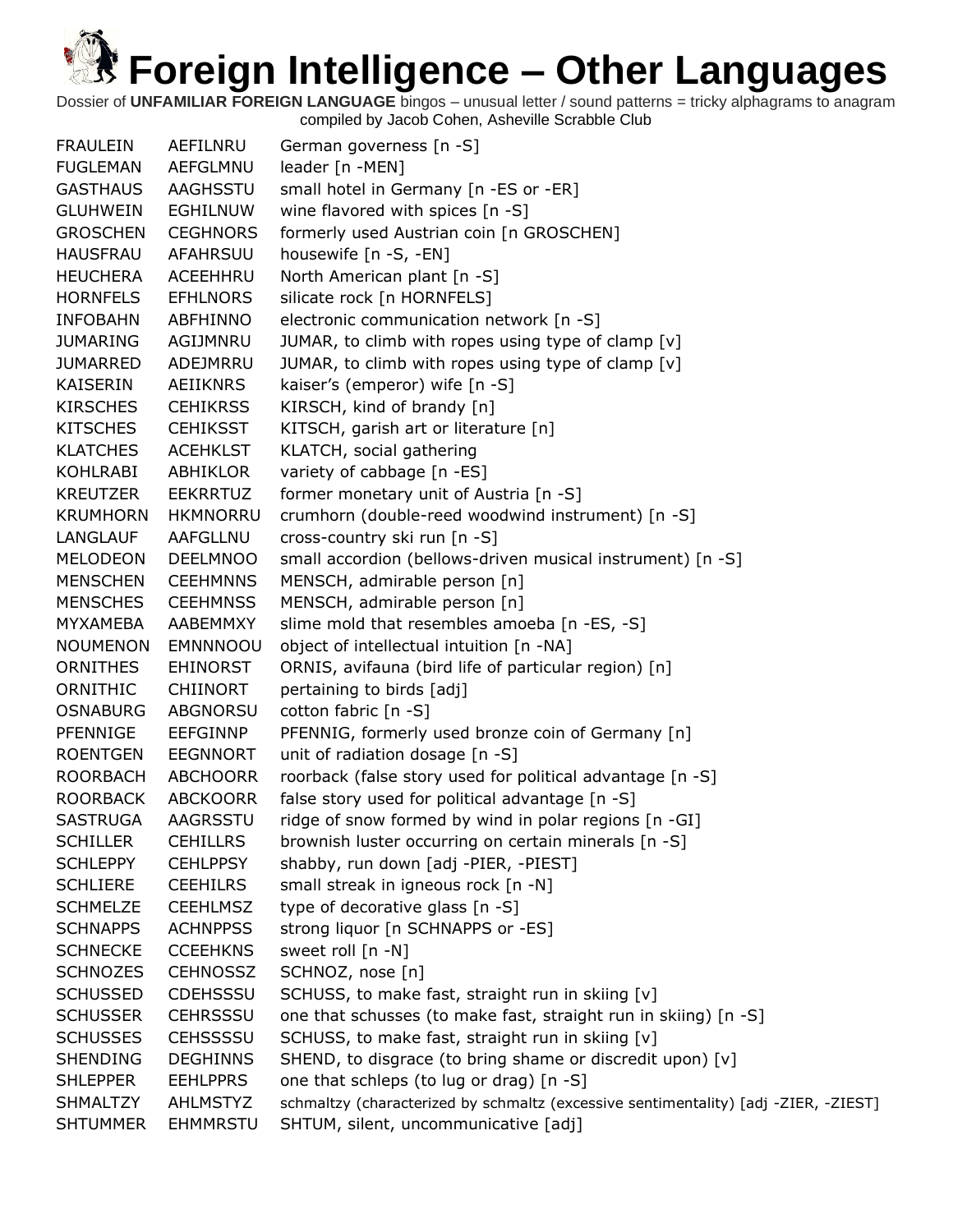Dossier of **UNFAMILIAR FOREIGN LANGUAGE** bingos – unusual letter / sound patterns = tricky alphagrams to anagram compiled by Jacob Cohen, Asheville Scrabble Club

| <b>FRAULEIN</b> | AEFILNRU        | German governess [n -S]                                                             |
|-----------------|-----------------|-------------------------------------------------------------------------------------|
| <b>FUGLEMAN</b> | AEFGLMNU        | leader [n -MEN]                                                                     |
| <b>GASTHAUS</b> | AAGHSSTU        | small hotel in Germany [n -ES or -ER]                                               |
| <b>GLUHWEIN</b> | <b>EGHILNUW</b> | wine flavored with spices [n -S]                                                    |
| <b>GROSCHEN</b> | <b>CEGHNORS</b> | formerly used Austrian coin [n GROSCHEN]                                            |
| <b>HAUSFRAU</b> | <b>AFAHRSUU</b> | housewife [n -S, -EN]                                                               |
| <b>HEUCHERA</b> | ACEEHHRU        | North American plant [n -S]                                                         |
| <b>HORNFELS</b> | <b>EFHLNORS</b> | silicate rock [n HORNFELS]                                                          |
| <b>INFOBAHN</b> | ABFHINNO        | electronic communication network [n -S]                                             |
| <b>JUMARING</b> | AGIJMNRU        | JUMAR, to climb with ropes using type of clamp [v]                                  |
| <b>JUMARRED</b> | ADEJMRRU        | JUMAR, to climb with ropes using type of clamp [v]                                  |
| <b>KAISERIN</b> | AEIIKNRS        | kaiser's (emperor) wife [n -S]                                                      |
| <b>KIRSCHES</b> | <b>CEHIKRSS</b> | KIRSCH, kind of brandy [n]                                                          |
| <b>KITSCHES</b> | <b>CEHIKSST</b> | KITSCH, garish art or literature [n]                                                |
| <b>KLATCHES</b> | <b>ACEHKLST</b> | KLATCH, social gathering                                                            |
| <b>KOHLRABI</b> | ABHIKLOR        | variety of cabbage [n -ES]                                                          |
| <b>KREUTZER</b> | <b>EEKRRTUZ</b> | former monetary unit of Austria [n -S]                                              |
| <b>KRUMHORN</b> | <b>HKMNORRU</b> | crumhorn (double-reed woodwind instrument) [n -S]                                   |
| LANGLAUF        | AAFGLLNU        | cross-country ski run [n -S]                                                        |
| <b>MELODEON</b> | <b>DEELMNOO</b> | small accordion (bellows-driven musical instrument) [n -S]                          |
| <b>MENSCHEN</b> | <b>CEEHMNNS</b> | MENSCH, admirable person [n]                                                        |
| <b>MENSCHES</b> | <b>CEEHMNSS</b> | MENSCH, admirable person [n]                                                        |
| MYXAMEBA        | AABEMMXY        | slime mold that resembles amoeba [n -ES, -S]                                        |
| <b>NOUMENON</b> | <b>EMNNNOOU</b> | object of intellectual intuition [n -NA]                                            |
| <b>ORNITHES</b> | EHINORST        | ORNIS, avifauna (bird life of particular region) [n]                                |
| ORNITHIC        | <b>CHIINORT</b> | pertaining to birds [adj]                                                           |
| <b>OSNABURG</b> | ABGNORSU        | cotton fabric [n -S]                                                                |
| PFENNIGE        | <b>EEFGINNP</b> | PFENNIG, formerly used bronze coin of Germany [n]                                   |
| <b>ROENTGEN</b> | <b>EEGNNORT</b> | unit of radiation dosage [n -S]                                                     |
| <b>ROORBACH</b> | <b>ABCHOORR</b> | roorback (false story used for political advantage [n -S]                           |
| <b>ROORBACK</b> | <b>ABCKOORR</b> | false story used for political advantage [n -S]                                     |
| <b>SASTRUGA</b> | AAGRSSTU        | ridge of snow formed by wind in polar regions [n -GI]                               |
| <b>SCHILLER</b> | <b>CEHILLRS</b> | brownish luster occurring on certain minerals [n -S]                                |
| <b>SCHLEPPY</b> | <b>CEHLPPSY</b> | shabby, run down [adj -PIER, -PIEST]                                                |
| <b>SCHLIERE</b> | <b>CEEHILRS</b> | small streak in igneous rock [n -N]                                                 |
| <b>SCHMELZE</b> | <b>CEEHLMSZ</b> | type of decorative glass [n -S]                                                     |
| <b>SCHNAPPS</b> | <b>ACHNPPSS</b> | strong liquor [n SCHNAPPS or -ES]                                                   |
| <b>SCHNECKE</b> | <b>CCEEHKNS</b> | sweet roll [n -N]                                                                   |
| <b>SCHNOZES</b> | <b>CEHNOSSZ</b> | SCHNOZ, nose [n]                                                                    |
| <b>SCHUSSED</b> | <b>CDEHSSSU</b> | SCHUSS, to make fast, straight run in skiing [v]                                    |
| <b>SCHUSSER</b> | <b>CEHRSSSU</b> | one that schusses (to make fast, straight run in skiing) [n -S]                     |
| <b>SCHUSSES</b> | <b>CEHSSSSU</b> | SCHUSS, to make fast, straight run in skiing [v]                                    |
| <b>SHENDING</b> | <b>DEGHINNS</b> | SHEND, to disgrace (to bring shame or discredit upon) [v]                           |
| <b>SHLEPPER</b> | <b>EEHLPPRS</b> | one that schleps (to lug or drag) [n -S]                                            |
| <b>SHMALTZY</b> | <b>AHLMSTYZ</b> | schmaltzy (characterized by schmaltz (excessive sentimentality) [adj -ZIER, -ZIEST] |
| <b>SHTUMMER</b> | <b>EHMMRSTU</b> | SHTUM, silent, uncommunicative [adj]                                                |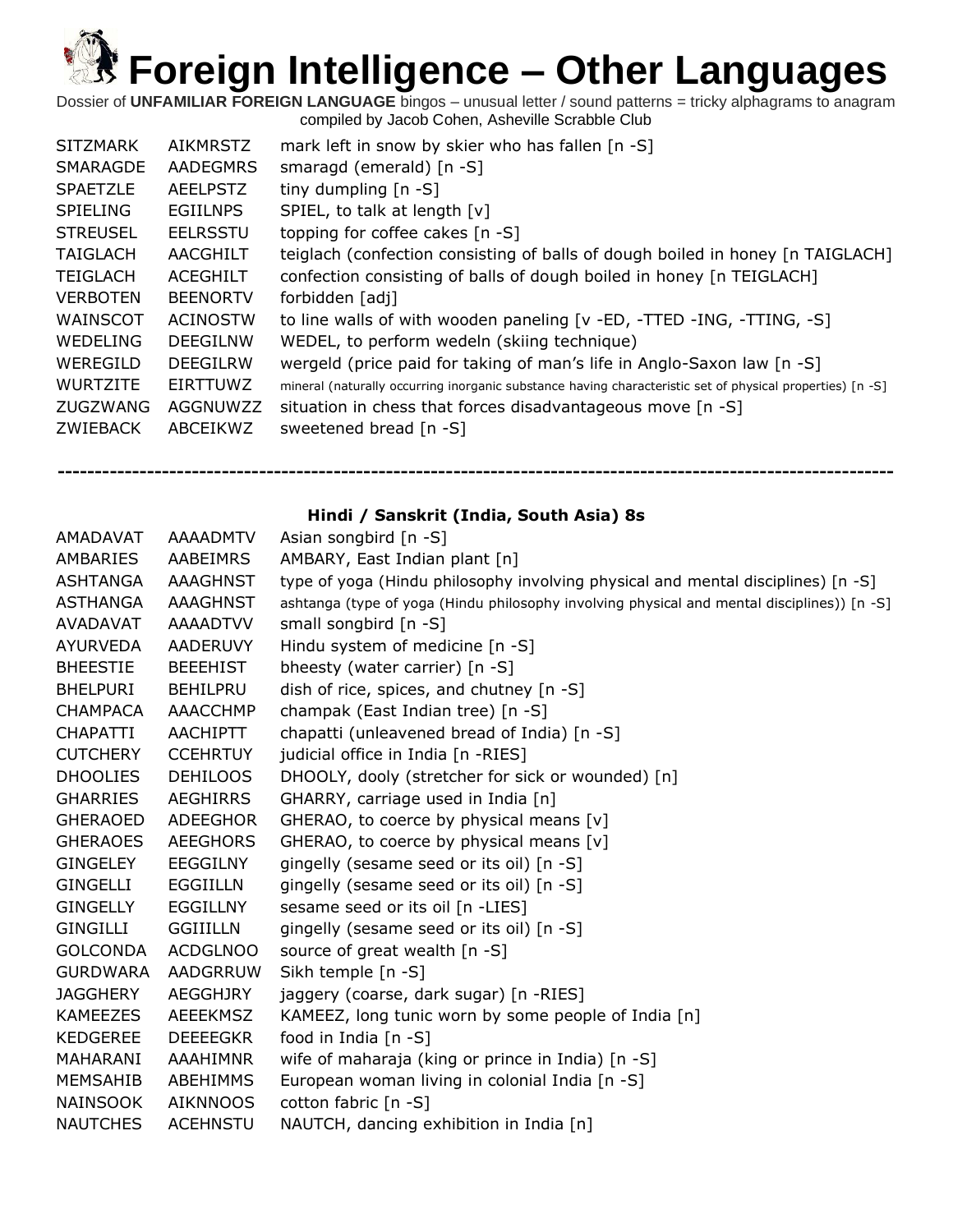Dossier of **UNFAMILIAR FOREIGN LANGUAGE** bingos – unusual letter / sound patterns = tricky alphagrams to anagram compiled by Jacob Cohen, Asheville Scrabble Club

| <b>SITZMARK</b> | AIKMRSTZ        | mark left in snow by skier who has fallen [n -S]                                                          |
|-----------------|-----------------|-----------------------------------------------------------------------------------------------------------|
| SMARAGDE        | <b>AADEGMRS</b> | smaragd (emerald) $[n -S]$                                                                                |
| <b>SPAETZLE</b> | <b>AEELPSTZ</b> | tiny dumpling $[n - S]$                                                                                   |
| <b>SPIELING</b> | <b>EGIILNPS</b> | SPIEL, to talk at length [v]                                                                              |
| <b>STREUSEL</b> | <b>EELRSSTU</b> | topping for coffee cakes [n -S]                                                                           |
| <b>TAIGLACH</b> | AACGHILT        | teiglach (confection consisting of balls of dough boiled in honey [n TAIGLACH]                            |
| <b>TEIGLACH</b> | <b>ACEGHILT</b> | confection consisting of balls of dough boiled in honey [n TEIGLACH]                                      |
| <b>VERBOTEN</b> | <b>BEENORTV</b> | forbidden [adj]                                                                                           |
| WAINSCOT        | ACINOSTW        | to line walls of with wooden paneling [v -ED, -TTED -ING, -TTING, -S]                                     |
| WEDELING        | DEEGIL NW       | WEDEL, to perform wedeln (skiing technique)                                                               |
| WEREGILD        | <b>DEEGILRW</b> | wergeld (price paid for taking of man's life in Anglo-Saxon law [n -S]                                    |
| <b>WURTZITE</b> | EIRTTUWZ        | mineral (naturally occurring inorganic substance having characteristic set of physical properties) [n -S] |
| ZUGZWANG        | AGGNUWZZ        | situation in chess that forces disadvantageous move [n -S]                                                |
| ZWIEBACK        | ABCEIKWZ        | sweetened bread [n -S]                                                                                    |
|                 |                 |                                                                                                           |

**Hindi / Sanskrit (India, South Asia) 8s**

| AMADAVAT        | <b>AAAADMTV</b> | Asian songbird [n -S]                                                                       |
|-----------------|-----------------|---------------------------------------------------------------------------------------------|
| AMBARIES        | AABEIMRS        | AMBARY, East Indian plant [n]                                                               |
| <b>ASHTANGA</b> | <b>AAAGHNST</b> | type of yoga (Hindu philosophy involving physical and mental disciplines) [n -S]            |
| ASTHANGA        | AAAGHNST        | ashtanga (type of yoga (Hindu philosophy involving physical and mental disciplines)) [n -S] |
| <b>AVADAVAT</b> | AAAADTVV        | small songbird $[n -S]$                                                                     |
| <b>AYURVEDA</b> | AADERUVY        | Hindu system of medicine [n -S]                                                             |
| <b>BHEESTIE</b> | <b>BEEEHIST</b> | bheesty (water carrier) [n -S]                                                              |
| <b>BHELPURI</b> | <b>BEHILPRU</b> | dish of rice, spices, and chutney $[n - S]$                                                 |
| <b>CHAMPACA</b> | <b>AAACCHMP</b> | champak (East Indian tree) [n -S]                                                           |
| <b>CHAPATTI</b> | AACHIPTT        | chapatti (unleavened bread of India) [n -S]                                                 |
| <b>CUTCHERY</b> | <b>CCEHRTUY</b> | judicial office in India [n -RIES]                                                          |
| <b>DHOOLIES</b> | <b>DEHILOOS</b> | DHOOLY, dooly (stretcher for sick or wounded) [n]                                           |
| <b>GHARRIES</b> | <b>AEGHIRRS</b> | GHARRY, carriage used in India [n]                                                          |
| <b>GHERAOED</b> | ADEEGHOR        | GHERAO, to coerce by physical means [v]                                                     |
| <b>GHERAOES</b> | <b>AEEGHORS</b> | GHERAO, to coerce by physical means [v]                                                     |
| <b>GINGELEY</b> | <b>EEGGILNY</b> | gingelly (sesame seed or its oil) [n -S]                                                    |
| GINGELLI        | EGGIILLN        | gingelly (sesame seed or its oil) [n -S]                                                    |
| <b>GINGELLY</b> | <b>EGGILLNY</b> | sesame seed or its oil [n -LIES]                                                            |
| <b>GINGILLI</b> | <b>GGIIILLN</b> | gingelly (sesame seed or its oil) [n -S]                                                    |
| <b>GOLCONDA</b> | <b>ACDGLNOO</b> | source of great wealth $[n -S]$                                                             |
| <b>GURDWARA</b> | AADGRRUW        | Sikh temple [n -S]                                                                          |
| <b>JAGGHERY</b> | <b>AEGGHJRY</b> | jaggery (coarse, dark sugar) [n -RIES]                                                      |
| <b>KAMEEZES</b> | AEEEKMSZ        | KAMEEZ, long tunic worn by some people of India [n]                                         |
| <b>KEDGEREE</b> | <b>DEEEEGKR</b> | food in India [n -S]                                                                        |
| MAHARANI        | AAAHIMNR        | wife of maharaja (king or prince in India) [n -S]                                           |
| MEMSAHIB        | ABEHIMMS        | European woman living in colonial India [n -S]                                              |
| <b>NAINSOOK</b> | <b>AIKNNOOS</b> | cotton fabric [n -S]                                                                        |
| <b>NAUTCHES</b> | <b>ACEHNSTU</b> | NAUTCH, dancing exhibition in India [n]                                                     |
|                 |                 |                                                                                             |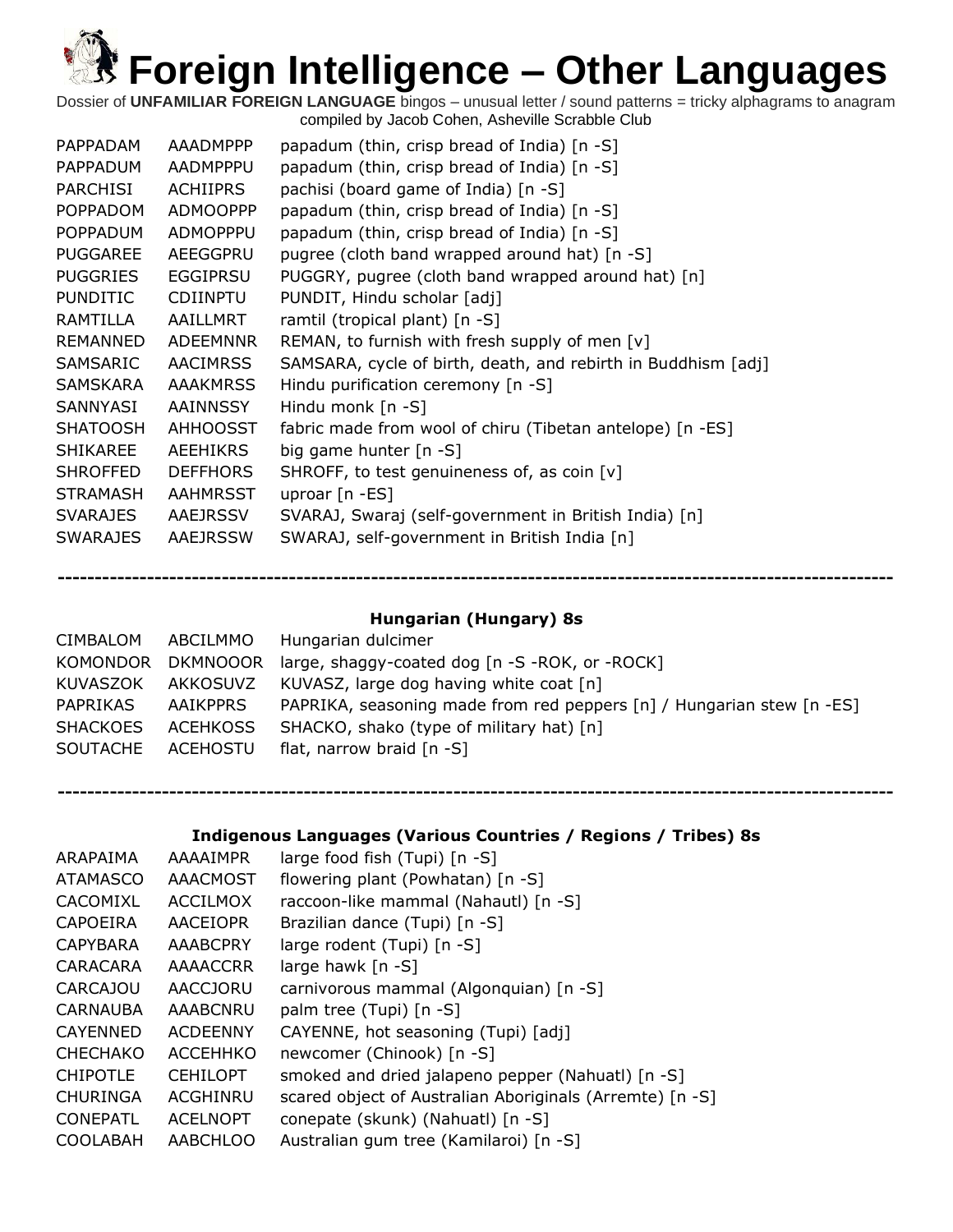Dossier of **UNFAMILIAR FOREIGN LANGUAGE** bingos – unusual letter / sound patterns = tricky alphagrams to anagram compiled by Jacob Cohen, Asheville Scrabble Club

| <b>RAMTILLA</b><br>ramtil (tropical plant) [n -S]<br>AAILLMRT<br>REMAN, to furnish with fresh supply of men [v]<br><b>REMANNED</b><br><b>ADEEMNNR</b><br>SAMSARA, cycle of birth, death, and rebirth in Buddhism [adj]<br>SAMSARIC<br>AACIMRSS<br>Hindu purification ceremony [n -S]<br>SAMSKARA<br><b>AAAKMRSS</b><br>SANNYASI<br>AAINNSSY<br>Hindu monk $[n -S]$<br>fabric made from wool of chiru (Tibetan antelope) [n -ES]<br><b>SHATOOSH</b><br>AHHOOSST<br><b>SHIKAREE</b><br><b>AEEHIKRS</b><br>big game hunter $[n - S]$<br><b>SHROFFED</b><br><b>DEFFHORS</b><br>SHROFF, to test genuineness of, as coin [v]<br><b>STRAMASH</b><br><b>AAHMRSST</b><br>uproar $[n - ES]$<br>SVARAJ, Swaraj (self-government in British India) [n]<br><b>SVARAJES</b><br>AAEJRSSV | PARCHISI<br><b>POPPADOM</b><br><b>POPPADUM</b><br><b>PUGGAREE</b><br><b>PUGGRIES</b><br><b>PUNDITIC</b> | AADMPPPU<br><b>ACHIIPRS</b><br><b>ADMOOPPP</b><br>ADMOPPPU<br>AEEGGPRU<br><b>EGGIPRSU</b><br><b>CDIINPTU</b> | papadum (thin, crisp bread of India) [n -S]<br>pachisi (board game of India) [n -S]<br>papadum (thin, crisp bread of India) [n -S]<br>papadum (thin, crisp bread of India) [n -S]<br>pugree (cloth band wrapped around hat) [n -S]<br>PUGGRY, pugree (cloth band wrapped around hat) [n]<br>PUNDIT, Hindu scholar [adj] |  |
|---------------------------------------------------------------------------------------------------------------------------------------------------------------------------------------------------------------------------------------------------------------------------------------------------------------------------------------------------------------------------------------------------------------------------------------------------------------------------------------------------------------------------------------------------------------------------------------------------------------------------------------------------------------------------------------------------------------------------------------------------------------------------|---------------------------------------------------------------------------------------------------------|--------------------------------------------------------------------------------------------------------------|-------------------------------------------------------------------------------------------------------------------------------------------------------------------------------------------------------------------------------------------------------------------------------------------------------------------------|--|
| AAEJRSSW<br>SWARAJ, self-government in British India [n]<br><b>SWARAJES</b>                                                                                                                                                                                                                                                                                                                                                                                                                                                                                                                                                                                                                                                                                               |                                                                                                         |                                                                                                              |                                                                                                                                                                                                                                                                                                                         |  |

#### **Hungarian (Hungary) 8s**

**----------------------------------------------------------------------------------------------------------------**

| <b>CIMBALOM</b>   | ABCILMMO        | Hungarian dulcimer                                                    |
|-------------------|-----------------|-----------------------------------------------------------------------|
| KOMONDOR          | DKMNOOOR        | large, shaggy-coated dog $[n - S - ROK, or -ROCK]$                    |
| KUVASZOK          | AKKOSUVZ        | KUVASZ, large dog having white coat [n]                               |
| PAPRIKAS          | AAIKPPRS        | PAPRIKA, seasoning made from red peppers [n] / Hungarian stew [n -ES] |
| <b>SHACKOES</b>   | <b>ACEHKOSS</b> | SHACKO, shako (type of military hat) [n]                              |
| SOUTACHE ACEHOSTU |                 | flat, narrow braid $[n -S]$                                           |
|                   |                 |                                                                       |

**Indigenous Languages (Various Countries / Regions / Tribes) 8s**

| ARAPAIMA        | AAAAIMPR        | large food fish (Tupi) [n -S]                            |
|-----------------|-----------------|----------------------------------------------------------|
| <b>ATAMASCO</b> | <b>AAACMOST</b> | flowering plant (Powhatan) $[n -S]$                      |
| CACOMIXL        | ACCILMOX        | raccoon-like mammal (Nahautl) [n -S]                     |
| <b>CAPOEIRA</b> | <b>AACEIOPR</b> | Brazilian dance (Tupi) [n -S]                            |
| <b>CAPYBARA</b> | AAABCPRY        | large rodent (Tupi) [n -S]                               |
| CARACARA        | <b>AAAACCRR</b> | large hawk $[n -S]$                                      |
| <b>CARCAJOU</b> | AACCJORU        | carnivorous mammal (Algonquian) [n -S]                   |
| <b>CARNAUBA</b> | AAABCNRU        | palm tree (Tupi) [n -S]                                  |
| <b>CAYENNED</b> | <b>ACDEENNY</b> | CAYENNE, hot seasoning (Tupi) [adj]                      |
| <b>CHECHAKO</b> | <b>ACCEHHKO</b> | newcomer (Chinook) [n -S]                                |
| <b>CHIPOTLE</b> | <b>CEHILOPT</b> | smoked and dried jalapeno pepper (Nahuatl) [n -S]        |
| <b>CHURINGA</b> | ACGHINRU        | scared object of Australian Aboriginals (Arremte) [n -S] |
| <b>CONEPATL</b> | <b>ACELNOPT</b> | conepate (skunk) (Nahuatl) [n -S]                        |
| <b>COOLABAH</b> | <b>AABCHLOO</b> | Australian gum tree (Kamilaroi) [n -S]                   |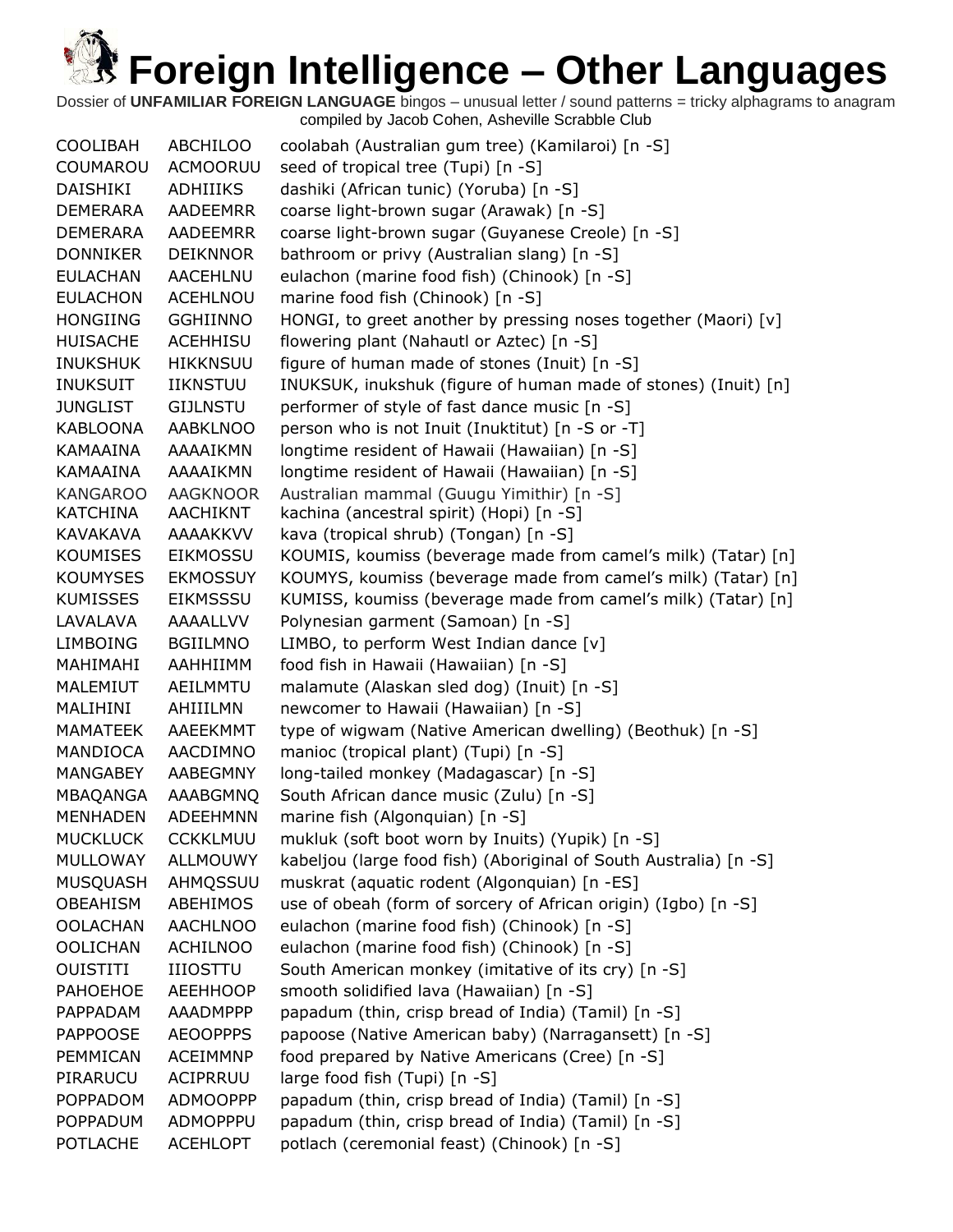Dossier of **UNFAMILIAR FOREIGN LANGUAGE** bingos – unusual letter / sound patterns = tricky alphagrams to anagram compiled by Jacob Cohen, Asheville Scrabble Club

| <b>COOLIBAH</b> | <b>ABCHILOO</b> | coolabah (Australian gum tree) (Kamilaroi) [n -S]                 |
|-----------------|-----------------|-------------------------------------------------------------------|
| COUMAROU        | <b>ACMOORUU</b> | seed of tropical tree (Tupi) [n -S]                               |
| <b>DAISHIKI</b> | ADHIIIKS        | dashiki (African tunic) (Yoruba) [n -S]                           |
| <b>DEMERARA</b> | AADEEMRR        | coarse light-brown sugar (Arawak) [n -S]                          |
| <b>DEMERARA</b> | <b>AADEEMRR</b> | coarse light-brown sugar (Guyanese Creole) [n -S]                 |
| <b>DONNIKER</b> | <b>DEIKNNOR</b> | bathroom or privy (Australian slang) [n -S]                       |
| <b>EULACHAN</b> | <b>AACEHLNU</b> | eulachon (marine food fish) (Chinook) [n -S]                      |
| <b>EULACHON</b> | <b>ACEHLNOU</b> | marine food fish (Chinook) [n -S]                                 |
| <b>HONGIING</b> | <b>GGHIINNO</b> | HONGI, to greet another by pressing noses together (Maori) [v]    |
| <b>HUISACHE</b> | <b>ACEHHISU</b> | flowering plant (Nahautl or Aztec) [n -S]                         |
| <b>INUKSHUK</b> | <b>HIKKNSUU</b> | figure of human made of stones (Inuit) [n -S]                     |
| <b>INUKSUIT</b> | <b>IIKNSTUU</b> | INUKSUK, inukshuk (figure of human made of stones) (Inuit) [n]    |
| <b>JUNGLIST</b> | <b>GIJLNSTU</b> | performer of style of fast dance music [n -S]                     |
| <b>KABLOONA</b> | <b>AABKLNOO</b> | person who is not Inuit (Inuktitut) [n -S or -T]                  |
| <b>KAMAAINA</b> | AAAAIKMN        | longtime resident of Hawaii (Hawaiian) [n -S]                     |
| <b>KAMAAINA</b> | AAAAIKMN        | longtime resident of Hawaii (Hawaiian) [n -S]                     |
| <b>KANGAROO</b> | <b>AAGKNOOR</b> | Australian mammal (Guugu Yimithir) [n -S]                         |
| KATCHINA        | AACHIKNT        | kachina (ancestral spirit) (Hopi) [n -S]                          |
| KAVAKAVA        | <b>AAAAKKVV</b> | kava (tropical shrub) (Tongan) [n -S]                             |
| <b>KOUMISES</b> | <b>EIKMOSSU</b> | KOUMIS, koumiss (beverage made from camel's milk) (Tatar) [n]     |
| <b>KOUMYSES</b> | <b>EKMOSSUY</b> | KOUMYS, koumiss (beverage made from camel's milk) (Tatar) [n]     |
| <b>KUMISSES</b> | <b>EIKMSSSU</b> | KUMISS, koumiss (beverage made from camel's milk) (Tatar) [n]     |
| LAVALAVA        | AAAALLVV        | Polynesian garment (Samoan) [n -S]                                |
| <b>LIMBOING</b> | <b>BGIILMNO</b> | LIMBO, to perform West Indian dance [v]                           |
| MAHIMAHI        | AAHHIIMM        | food fish in Hawaii (Hawaiian) [n -S]                             |
| MALEMIUT        | AEILMMTU        | malamute (Alaskan sled dog) (Inuit) [n -S]                        |
| MALIHINI        | AHIIILMN        | newcomer to Hawaii (Hawaiian) [n -S]                              |
| <b>MAMATEEK</b> | <b>AAEEKMMT</b> | type of wigwam (Native American dwelling) (Beothuk) [n -S]        |
| <b>MANDIOCA</b> | AACDIMNO        | manioc (tropical plant) (Tupi) [n -S]                             |
| <b>MANGABEY</b> | AABEGMNY        | long-tailed monkey (Madagascar) [n -S]                            |
| <b>MBAQANGA</b> | AAABGMNQ        | South African dance music (Zulu) [n -S]                           |
| <b>MENHADEN</b> | <b>ADEEHMNN</b> | marine fish (Algonquian) [n -S]                                   |
| <b>MUCKLUCK</b> | <b>CCKKLMUU</b> | mukluk (soft boot worn by Inuits) (Yupik) [n -S]                  |
| <b>MULLOWAY</b> | <b>ALLMOUWY</b> | kabeljou (large food fish) (Aboriginal of South Australia) [n -S] |
| MUSQUASH        | AHMQSSUU        | muskrat (aquatic rodent (Algonquian) [n -ES]                      |
| <b>OBEAHISM</b> | <b>ABEHIMOS</b> | use of obeah (form of sorcery of African origin) (Igbo) [n -S]    |
| <b>OOLACHAN</b> | <b>AACHLNOO</b> | eulachon (marine food fish) (Chinook) [n -S]                      |
| <b>OOLICHAN</b> | <b>ACHILNOO</b> | eulachon (marine food fish) (Chinook) [n -S]                      |
| <b>OUISTITI</b> | <b>IIIOSTTU</b> | South American monkey (imitative of its cry) [n -S]               |
| PAHOEHOE        | <b>AEEHHOOP</b> | smooth solidified lava (Hawaiian) [n -S]                          |
| PAPPADAM        | <b>AAADMPPP</b> | papadum (thin, crisp bread of India) (Tamil) [n -S]               |
| <b>PAPPOOSE</b> | <b>AEOOPPPS</b> | papoose (Native American baby) (Narragansett) [n -S]              |
| PEMMICAN        | <b>ACEIMMNP</b> | food prepared by Native Americans (Cree) [n -S]                   |
| PIRARUCU        | ACIPRRUU        | large food fish (Tupi) [n -S]                                     |
| POPPADOM        | <b>ADMOOPPP</b> | papadum (thin, crisp bread of India) (Tamil) [n -S]               |
| <b>POPPADUM</b> | ADMOPPPU        | papadum (thin, crisp bread of India) (Tamil) [n -S]               |
| <b>POTLACHE</b> | <b>ACEHLOPT</b> | potlach (ceremonial feast) (Chinook) [n -S]                       |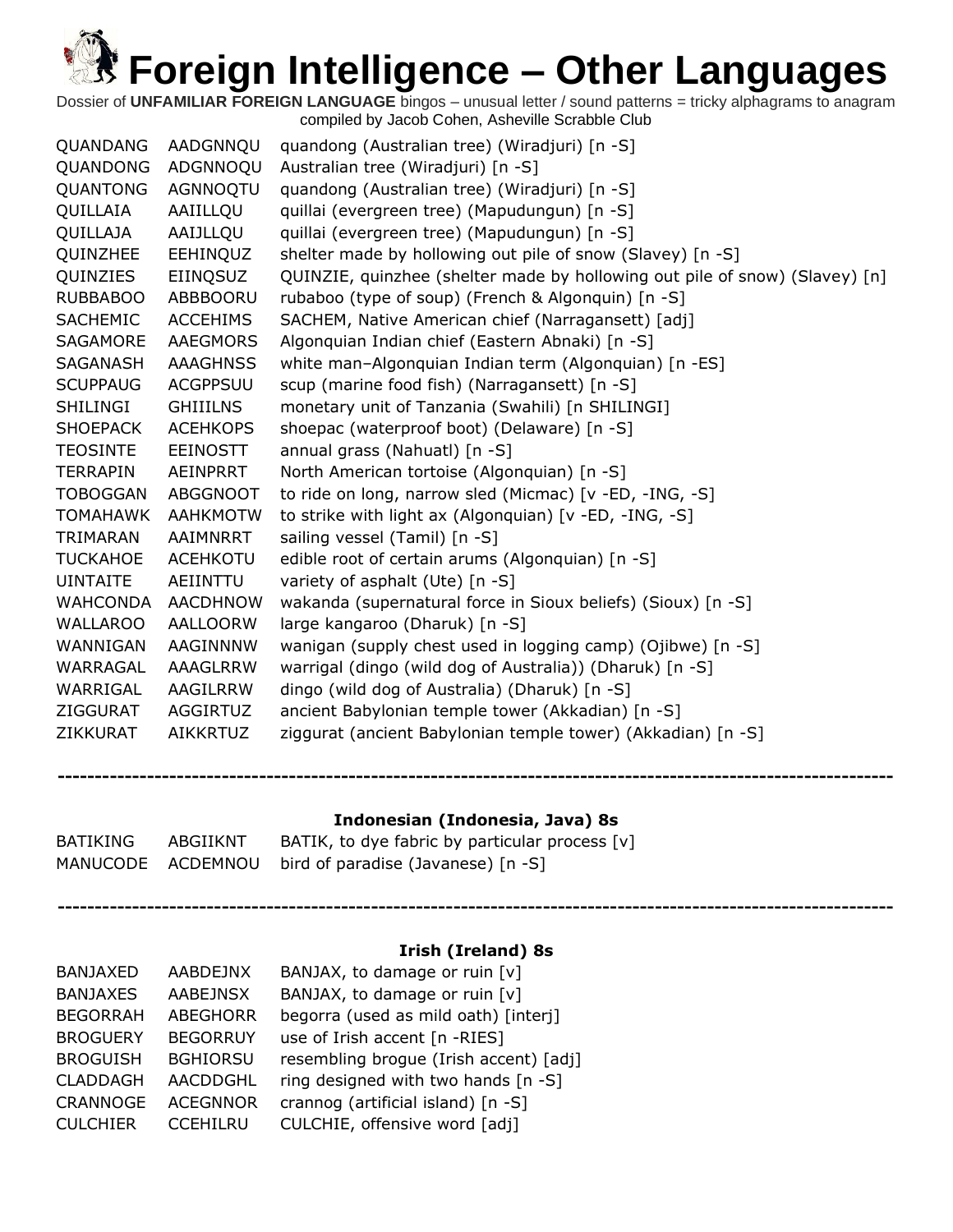Dossier of **UNFAMILIAR FOREIGN LANGUAGE** bingos – unusual letter / sound patterns = tricky alphagrams to anagram compiled by Jacob Cohen, Asheville Scrabble Club

| QUANDANG        | AADGNNQU        | quandong (Australian tree) (Wiradjuri) [n -S]                               |
|-----------------|-----------------|-----------------------------------------------------------------------------|
| QUANDONG        | ADGNNOQU        | Australian tree (Wiradjuri) [n -S]                                          |
| QUANTONG        | AGNNOQTU        | quandong (Australian tree) (Wiradjuri) [n -S]                               |
| QUILLAIA        | AAIILLQU        | quillai (evergreen tree) (Mapudungun) [n -S]                                |
| QUILLAJA        | AAIJLLQU        | quillai (evergreen tree) (Mapudungun) [n -S]                                |
| QUINZHEE        | <b>EEHINQUZ</b> | shelter made by hollowing out pile of snow (Slavey) [n -S]                  |
| QUINZIES        | EIINQSUZ        | QUINZIE, quinzhee (shelter made by hollowing out pile of snow) (Slavey) [n] |
| <b>RUBBABOO</b> | <b>ABBBOORU</b> | rubaboo (type of soup) (French & Algonquin) [n -S]                          |
| <b>SACHEMIC</b> | <b>ACCEHIMS</b> | SACHEM, Native American chief (Narragansett) [adj]                          |
| <b>SAGAMORE</b> | <b>AAEGMORS</b> | Algonquian Indian chief (Eastern Abnaki) [n -S]                             |
| SAGANASH        | <b>AAAGHNSS</b> | white man-Algonquian Indian term (Algonquian) [n -ES]                       |
| <b>SCUPPAUG</b> | <b>ACGPPSUU</b> | scup (marine food fish) (Narragansett) [n -S]                               |
| SHILINGI        | <b>GHIIILNS</b> | monetary unit of Tanzania (Swahili) [n SHILINGI]                            |
| <b>SHOEPACK</b> | <b>ACEHKOPS</b> | shoepac (waterproof boot) (Delaware) [n -S]                                 |
| <b>TEOSINTE</b> | <b>EEINOSTT</b> | annual grass (Nahuatl) [n -S]                                               |
| <b>TERRAPIN</b> | AEINPRRT        | North American tortoise (Algonquian) [n -S]                                 |
| <b>TOBOGGAN</b> | <b>ABGGNOOT</b> | to ride on long, narrow sled (Micmac) [v -ED, -ING, -S]                     |
| <b>TOMAHAWK</b> | <b>AAHKMOTW</b> | to strike with light ax (Algonquian) [v -ED, -ING, -S]                      |
| TRIMARAN        | AAIMNRRT        | sailing vessel (Tamil) [n -S]                                               |
| <b>TUCKAHOE</b> | <b>ACEHKOTU</b> | edible root of certain arums (Algonquian) [n -S]                            |
| <b>UINTAITE</b> | AEIINTTU        | variety of asphalt (Ute) [n -S]                                             |
| WAHCONDA        | AACDHNOW        | wakanda (supernatural force in Sioux beliefs) (Sioux) [n -S]                |
| WALLAROO        | <b>AALLOORW</b> | large kangaroo (Dharuk) [n -S]                                              |
| WANNIGAN        | AAGINNNW        | wanigan (supply chest used in logging camp) (Ojibwe) [n -S]                 |
| WARRAGAL        | AAAGLRRW        | warrigal (dingo (wild dog of Australia)) (Dharuk) [n -S]                    |
| WARRIGAL        | AAGILRRW        | dingo (wild dog of Australia) (Dharuk) [n -S]                               |
| ZIGGURAT        | <b>AGGIRTUZ</b> | ancient Babylonian temple tower (Akkadian) [n -S]                           |
| ZIKKURAT        | <b>AIKKRTUZ</b> | ziggurat (ancient Babylonian temple tower) (Akkadian) [n -S]                |
|                 |                 |                                                                             |

#### **Indonesian (Indonesia, Java) 8s**

**----------------------------------------------------------------------------------------------------------------**

| BATIKING | ABGIIKNT | BATIK, to dye fabric by particular process $[v]$     |
|----------|----------|------------------------------------------------------|
|          |          | MANUCODE ACDEMNOU bird of paradise (Javanese) [n -S] |

#### **Irish (Ireland) 8s**

| <b>BANJAXED</b> | <b>AABDEJNX</b> | BANJAX, to damage or ruin [v]          |
|-----------------|-----------------|----------------------------------------|
| <b>BANJAXES</b> | <b>AABEJNSX</b> | BANJAX, to damage or ruin [v]          |
| <b>BEGORRAH</b> | <b>ABEGHORR</b> | begorra (used as mild oath) [interj]   |
| <b>BROGUERY</b> | <b>BEGORRUY</b> | use of Irish accent [n -RIES]          |
| <b>BROGUISH</b> | <b>BGHIORSU</b> | resembling brogue (Irish accent) [adj] |
| <b>CLADDAGH</b> | <b>AACDDGHL</b> | ring designed with two hands [n -S]    |
| CRANNOGE        | <b>ACEGNNOR</b> | crannog (artificial island) [n -S]     |
| <b>CULCHIER</b> | <b>CCEHILRU</b> | CULCHIE, offensive word [adj]          |
|                 |                 |                                        |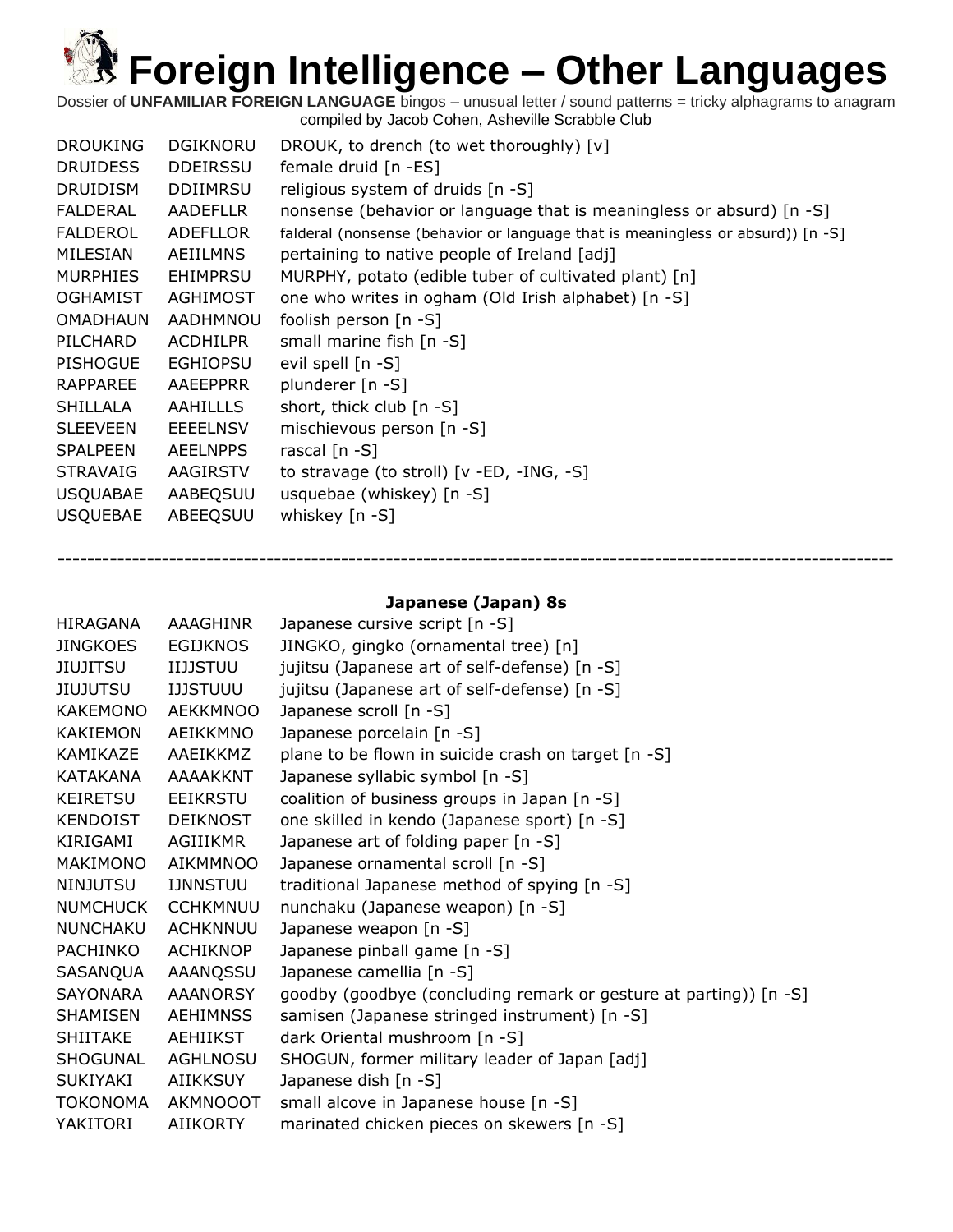Dossier of **UNFAMILIAR FOREIGN LANGUAGE** bingos – unusual letter / sound patterns = tricky alphagrams to anagram compiled by Jacob Cohen, Asheville Scrabble Club

| <b>DROUKING</b> | DGIKNORU        | DROUK, to drench (to wet thoroughly) [v]                                        |
|-----------------|-----------------|---------------------------------------------------------------------------------|
| <b>DRUIDESS</b> | <b>DDEIRSSU</b> | female druid [n -ES]                                                            |
| <b>DRUIDISM</b> | <b>DDIIMRSU</b> | religious system of druids $[n -S]$                                             |
| FALDERAL        | <b>AADEFLLR</b> | nonsense (behavior or language that is meaningless or absurd) [n -S]            |
| <b>FALDEROL</b> | ADEFLLOR        | falderal (nonsense (behavior or language that is meaningless or absurd)) [n -S] |
| MILESIAN        | AEIILMNS        | pertaining to native people of Ireland [adj]                                    |
| <b>MURPHIES</b> | <b>EHIMPRSU</b> | MURPHY, potato (edible tuber of cultivated plant) [n]                           |
| <b>OGHAMIST</b> | <b>AGHIMOST</b> | one who writes in ogham (Old Irish alphabet) [n -S]                             |
| OMADHAUN        | AADHMNOU        | foolish person $[n - S]$                                                        |
| PILCHARD        | <b>ACDHILPR</b> | small marine fish [n -S]                                                        |
| <b>PISHOGUE</b> | <b>EGHIOPSU</b> | evil spell $[n -S]$                                                             |
| <b>RAPPAREE</b> | AAEEPPRR        | plunderer [n -S]                                                                |
| SHILLALA        | AAHILLLS        | short, thick club [n -S]                                                        |
| <b>SLEEVEEN</b> | <b>EEEELNSV</b> | mischievous person $[n - S]$                                                    |
| <b>SPALPEEN</b> | <b>AEELNPPS</b> | rascal $[n - S]$                                                                |
| <b>STRAVAIG</b> | AAGIRSTV        | to stravage (to stroll) $[v - ED, -ING, -S]$                                    |
| <b>USQUABAE</b> | AABEQSUU        | usquebae (whiskey) $[n -S]$                                                     |
| <b>USQUEBAE</b> | ABEEQSUU        | whiskey $[n -S]$                                                                |

#### **Japanese (Japan) 8s**

| <b>HIRAGANA</b> | AAAGHINR        | Japanese cursive script [n -S]                                    |
|-----------------|-----------------|-------------------------------------------------------------------|
| <b>JINGKOES</b> | <b>EGIJKNOS</b> | JINGKO, gingko (ornamental tree) [n]                              |
| JIUJITSU        | <b>IIJJSTUU</b> | jujitsu (Japanese art of self-defense) [n -S]                     |
| <b>JIUJUTSU</b> | <b>IJJSTUUU</b> | jujitsu (Japanese art of self-defense) [n -S]                     |
| <b>KAKEMONO</b> | <b>AEKKMNOO</b> | Japanese scroll [n -S]                                            |
| KAKIEMON        | AEIKKMNO        | Japanese porcelain [n -S]                                         |
| KAMIKAZE        | AAEIKKMZ        | plane to be flown in suicide crash on target [n -S]               |
| KATAKANA        | AAAAKKNT        | Japanese syllabic symbol [n -S]                                   |
| KEIRETSU        | EEIKRSTU        | coalition of business groups in Japan [n -S]                      |
| KENDOIST        | <b>DEIKNOST</b> | one skilled in kendo (Japanese sport) [n -S]                      |
| KIRIGAMI        | AGIIIKMR        | Japanese art of folding paper [n -S]                              |
| MAKIMONO        | AIKMMNOO        | Japanese ornamental scroll [n -S]                                 |
| NINJUTSU        | <b>IJNNSTUU</b> | traditional Japanese method of spying [n -S]                      |
| <b>NUMCHUCK</b> | <b>CCHKMNUU</b> | nunchaku (Japanese weapon) [n -S]                                 |
| NUNCHAKU        | <b>ACHKNNUU</b> | Japanese weapon [n -S]                                            |
| PACHINKO        | <b>ACHIKNOP</b> | Japanese pinball game [n -S]                                      |
| SASANQUA        | AAANQSSU        | Japanese camellia [n -S]                                          |
| SAYONARA        | <b>AAANORSY</b> | goodby (goodbye (concluding remark or gesture at parting)) [n -S] |
| SHAMISEN        | <b>AEHIMNSS</b> | samisen (Japanese stringed instrument) [n -S]                     |
| SHIITAKE        | AEHIIKST        | dark Oriental mushroom [n -S]                                     |
| SHOGUNAL        | <b>AGHLNOSU</b> | SHOGUN, former military leader of Japan [adj]                     |
| SUKIYAKI        | <b>AIIKKSUY</b> | Japanese dish [n -S]                                              |
| TOKONOMA        | AKMNOOOT        | small alcove in Japanese house [n -S]                             |
| YAKITORI        | AIIKORTY        | marinated chicken pieces on skewers [n -S]                        |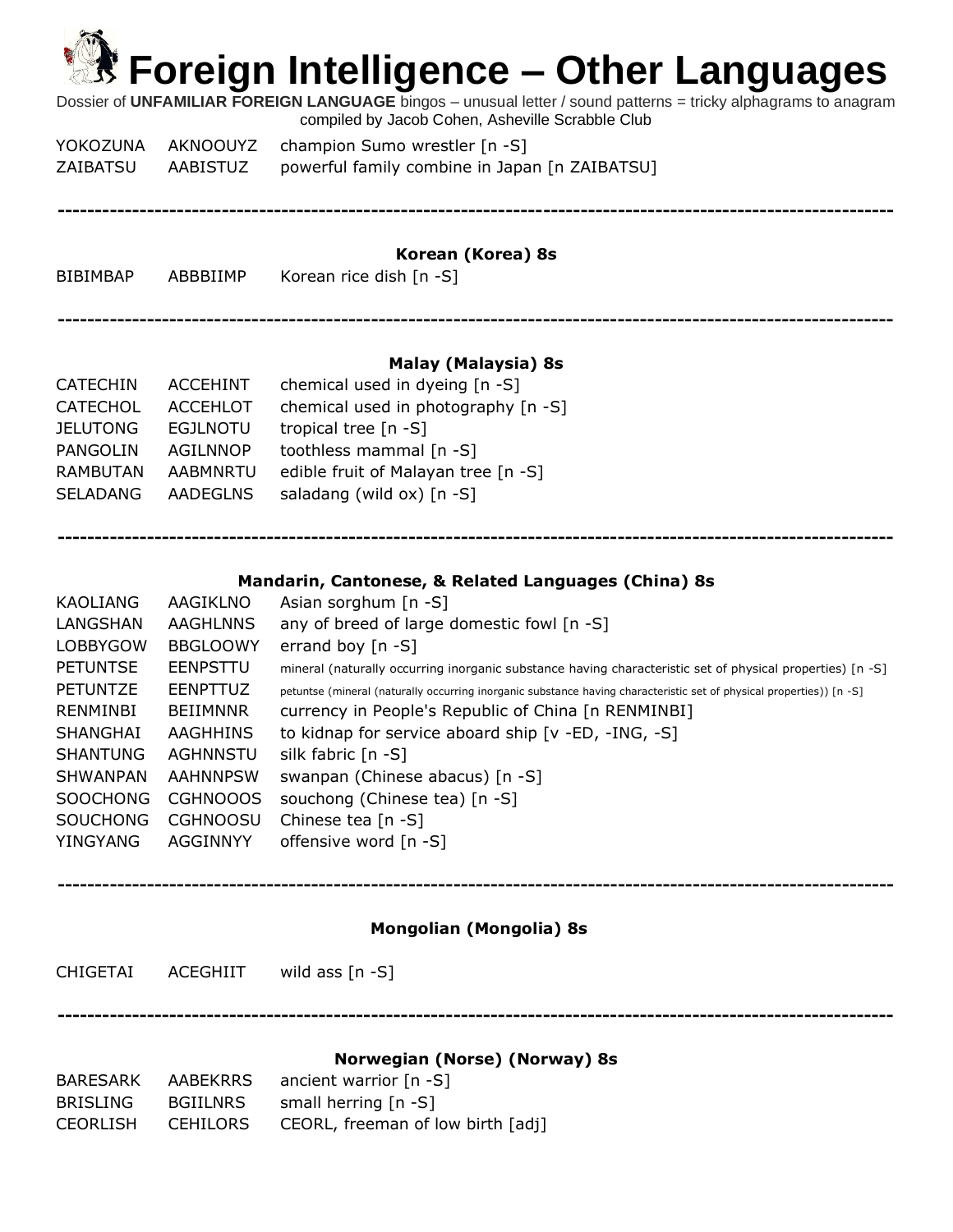Dossier of **UNFAMILIAR FOREIGN LANGUAGE** bingos – unusual letter / sound patterns = tricky alphagrams to anagram compiled by Jacob Cohen, Asheville Scrabble Club

YOKOZUNA AKNOOUYZ champion Sumo wrestler [n -S] ZAIBATSU AABISTUZ powerful family combine in Japan [n ZAIBATSU]

**----------------------------------------------------------------------------------------------------------------**

#### **Korean (Korea) 8s**

BIBIMBAP ABBBIIMP Korean rice dish [n -S]

**----------------------------------------------------------------------------------------------------------------**

#### **Malay (Malaysia) 8s**

| <b>CATECHIN</b> | ACCEHINT        | chemical used in dyeing [n -S]      |
|-----------------|-----------------|-------------------------------------|
| <b>CATECHOL</b> | <b>ACCEHLOT</b> | chemical used in photography [n -S] |
| <b>JELUTONG</b> | <b>EGJLNOTU</b> | tropical tree $[n - S]$             |
| <b>PANGOLIN</b> | <b>AGILNNOP</b> | toothless mammal [n -S]             |
| <b>RAMBUTAN</b> | <b>AABMNRTU</b> | edible fruit of Malayan tree [n -S] |
| <b>SELADANG</b> | <b>AADEGLNS</b> | saladang (wild ox) $[n - S]$        |
|                 |                 |                                     |

#### **Mandarin, Cantonese, & Related Languages (China) 8s**

**----------------------------------------------------------------------------------------------------------------**

| KAOLIANG        | AAGIKLNO        | Asian sorghum $[n -S]$                                                                                               |
|-----------------|-----------------|----------------------------------------------------------------------------------------------------------------------|
| LANGSHAN        | AAGHLNNS        | any of breed of large domestic fowl [n -S]                                                                           |
| <b>LOBBYGOW</b> | <b>BBGLOOWY</b> | errand boy $[n - S]$                                                                                                 |
| <b>PETUNTSE</b> | EENPSTTU        | mineral (naturally occurring inorganic substance having characteristic set of physical properties) [n -S]            |
| <b>PETUNTZE</b> | <b>FENPTTUZ</b> | petuntse (mineral (naturally occurring inorganic substance having characteristic set of physical properties)) [n -S] |
| RENMINBI        | BEIIMNNR        | currency in People's Republic of China [n RENMINBI]                                                                  |
| SHANGHAI        | AAGHHINS        | to kidnap for service aboard ship [v -ED, -ING, -S]                                                                  |
| <b>SHANTUNG</b> | AGHNNSTU        | silk fabric $[n - S]$                                                                                                |
| <b>SHWANPAN</b> | AAHNNPSW        | swanpan (Chinese abacus) [n -S]                                                                                      |
| <b>SOOCHONG</b> | CGHNOOOS        | souchong (Chinese tea) [n -S]                                                                                        |
| <b>SOUCHONG</b> | <b>CGHNOOSU</b> | Chinese tea $[n -S]$                                                                                                 |
| YINGYANG        | AGGINNYY        | offensive word [n -S]                                                                                                |
|                 |                 |                                                                                                                      |

#### **Mongolian (Mongolia) 8s**

**----------------------------------------------------------------------------------------------------------------**

CHIGETAI ACEGHIIT wild ass [n -S]

**----------------------------------------------------------------------------------------------------------------**

#### **Norwegian (Norse) (Norway) 8s**

| BARESARK | AABEKRRS | ancient warrior $[n - S]$         |
|----------|----------|-----------------------------------|
| BRISLING | BGIILNRS | small herring $[n - S]$           |
| CEORLISH | CEHILORS | CEORL, freeman of low birth [adj] |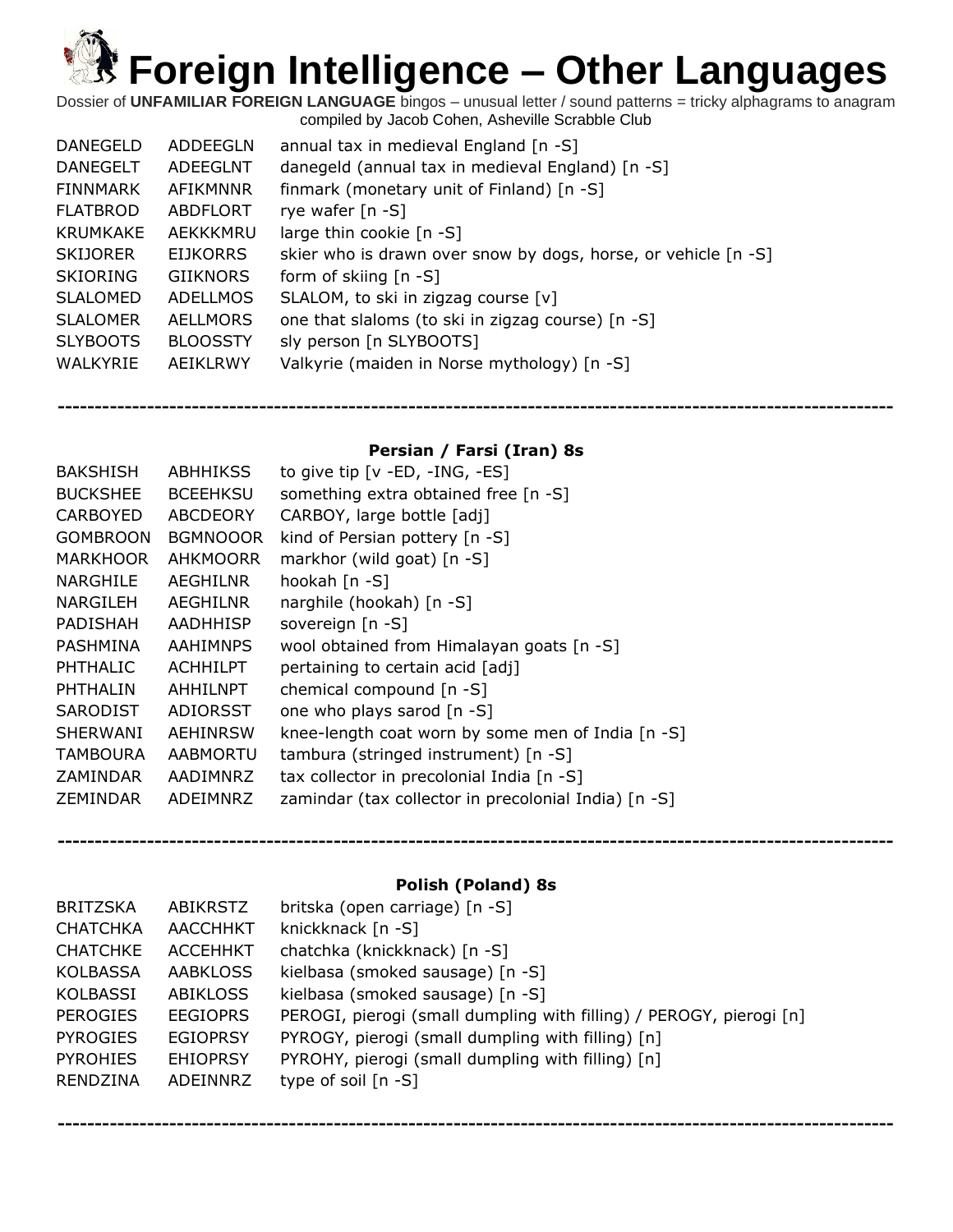Dossier of **UNFAMILIAR FOREIGN LANGUAGE** bingos – unusual letter / sound patterns = tricky alphagrams to anagram compiled by Jacob Cohen, Asheville Scrabble Club

| <b>DANEGELD</b> | ADDEEGLN        | annual tax in medieval England [n -S]                          |
|-----------------|-----------------|----------------------------------------------------------------|
| <b>DANEGELT</b> | ADFFGLNT        | danegeld (annual tax in medieval England) [n -S]               |
| FINNMARK        | AFIKMNNR        | finmark (monetary unit of Finland) [n -S]                      |
| <b>FLATBROD</b> | ABDFLORT        | rye wafer [n -S]                                               |
| KRUMKAKE        | AEKKKMRU        | large thin cookie [n -S]                                       |
| <b>SKIJORER</b> | <b>EIJKORRS</b> | skier who is drawn over snow by dogs, horse, or vehicle [n -S] |
| <b>SKIORING</b> | <b>GIIKNORS</b> | form of skiing $[n - S]$                                       |
| SLALOMED        | <b>ADELLMOS</b> | SLALOM, to ski in zigzag course [v]                            |
| <b>SLALOMER</b> | AELLMORS        | one that slaloms (to ski in zigzag course) [n -S]              |
| <b>SLYBOOTS</b> | <b>BLOOSSTY</b> | sly person [n SLYBOOTS]                                        |
| WALKYRIE        | <b>AEIKLRWY</b> | Valkyrie (maiden in Norse mythology) [n -S]                    |

#### **Persian / Farsi (Iran) 8s**

**----------------------------------------------------------------------------------------------------------------**

| <b>BAKSHISH</b> | ABHHIKSS        | to give tip $[v - ED, -ING, -ES]$                    |
|-----------------|-----------------|------------------------------------------------------|
| <b>BUCKSHEE</b> | <b>BCEEHKSU</b> | something extra obtained free [n -S]                 |
| CARBOYED        | <b>ABCDEORY</b> | CARBOY, large bottle [adj]                           |
| <b>GOMBROON</b> | <b>BGMNOOOR</b> | kind of Persian pottery $[n -S]$                     |
| <b>MARKHOOR</b> | <b>AHKMOORR</b> | markhor (wild goat) [n -S]                           |
| NARGHILE        | AEGHILNR        | hookah [n -S]                                        |
| NARGILEH        | <b>AEGHILNR</b> | narghile (hookah) [n -S]                             |
| PADISHAH        | <b>AADHHISP</b> | sovereign [n -S]                                     |
| PASHMINA        | <b>AAHIMNPS</b> | wool obtained from Himalayan goats [n -S]            |
| PHTHALIC        | <b>ACHHILPT</b> | pertaining to certain acid [adj]                     |
| PHTHALIN        | AHHILNPT        | chemical compound [n -S]                             |
| <b>SARODIST</b> | ADIORSST        | one who plays sarod [n -S]                           |
| <b>SHERWANI</b> | AEHINRSW        | knee-length coat worn by some men of India [n -S]    |
| <b>TAMBOURA</b> | AABMORTU        | tambura (stringed instrument) [n -S]                 |
| ZAMINDAR        | AADIMNRZ        | tax collector in precolonial India [n -S]            |
| ZEMINDAR        | ADEIMNRZ        | zamindar (tax collector in precolonial India) [n -S] |
|                 |                 |                                                      |

#### **Polish (Poland) 8s**

**----------------------------------------------------------------------------------------------------------------**

| <b>BRITZSKA</b> | ABIKRSTZ        | britska (open carriage) [n -S]                                      |
|-----------------|-----------------|---------------------------------------------------------------------|
| <b>CHATCHKA</b> | <b>AACCHHKT</b> | knickknack [n -S]                                                   |
| <b>CHATCHKE</b> | <b>ACCEHHKT</b> | chatchka (knickknack) [n -S]                                        |
| <b>KOLBASSA</b> | AABKLOSS        | kielbasa (smoked sausage) [n -S]                                    |
| KOLBASSI        | <b>ABIKLOSS</b> | kielbasa (smoked sausage) [n -S]                                    |
| <b>PEROGIES</b> | <b>EEGIOPRS</b> | PEROGI, pierogi (small dumpling with filling) / PEROGY, pierogi [n] |
| <b>PYROGIES</b> | <b>EGIOPRSY</b> | PYROGY, pierogi (small dumpling with filling) [n]                   |
| <b>PYROHIES</b> | <b>EHIOPRSY</b> | PYROHY, pierogi (small dumpling with filling) [n]                   |
| <b>RENDZINA</b> | ADEINNRZ        | type of soil $[n - S]$                                              |
|                 |                 |                                                                     |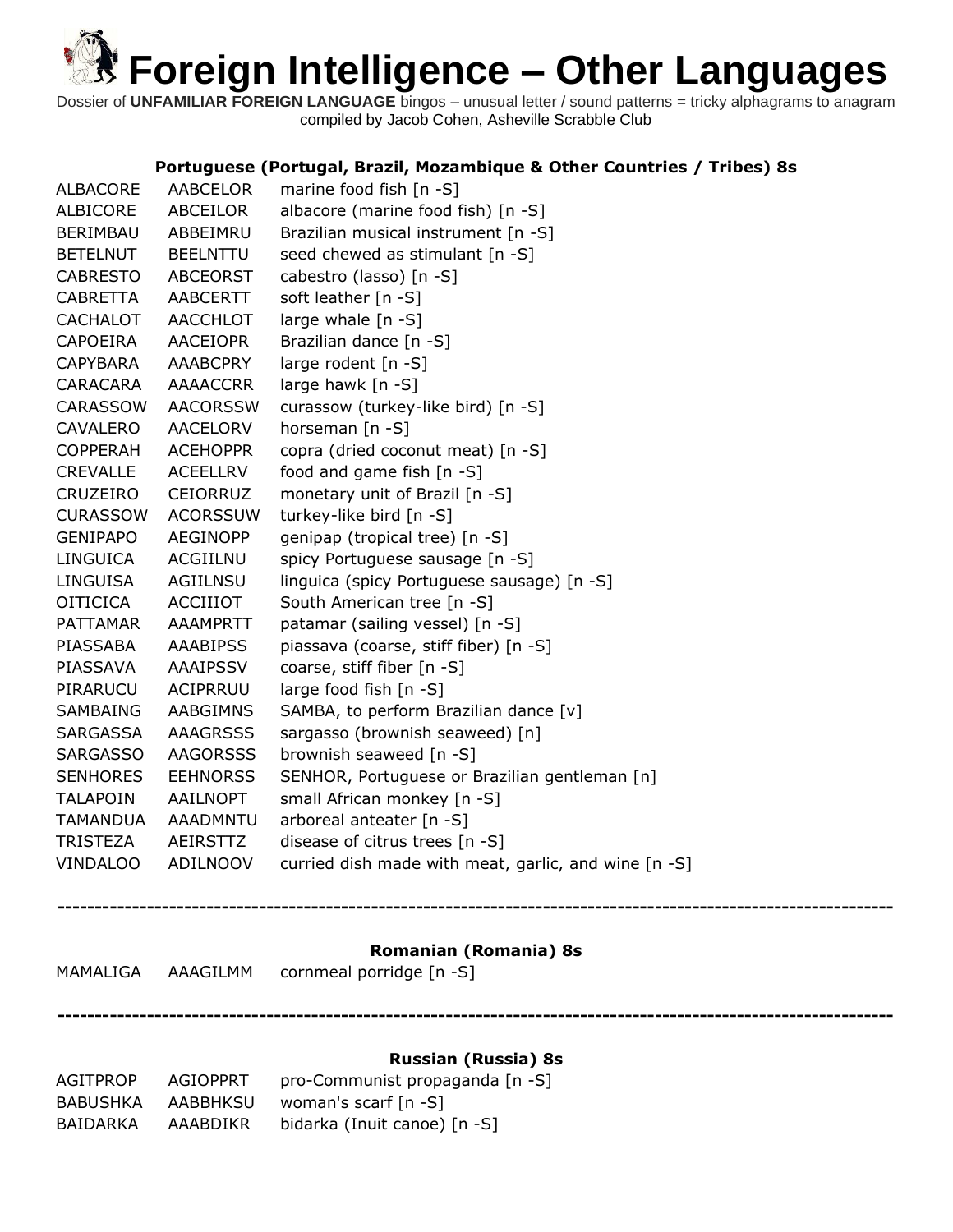Dossier of **UNFAMILIAR FOREIGN LANGUAGE** bingos – unusual letter / sound patterns = tricky alphagrams to anagram compiled by Jacob Cohen, Asheville Scrabble Club

#### **Portuguese (Portugal, Brazil, Mozambique & Other Countries / Tribes) 8s**

| <b>ALBACORE</b> | <b>AABCELOR</b> | marine food fish $[n - S]$                           |
|-----------------|-----------------|------------------------------------------------------|
| <b>ALBICORE</b> | <b>ABCEILOR</b> | albacore (marine food fish) [n -S]                   |
| <b>BERIMBAU</b> | ABBEIMRU        | Brazilian musical instrument [n -S]                  |
| <b>BETELNUT</b> | <b>BEELNTTU</b> | seed chewed as stimulant [n -S]                      |
| <b>CABRESTO</b> | <b>ABCEORST</b> | cabestro (lasso) [n -S]                              |
| <b>CABRETTA</b> | <b>AABCERTT</b> | soft leather [n -S]                                  |
| <b>CACHALOT</b> | <b>AACCHLOT</b> | large whale $[n -S]$                                 |
| <b>CAPOEIRA</b> | <b>AACEIOPR</b> | Brazilian dance [n -S]                               |
| <b>CAPYBARA</b> | <b>AAABCPRY</b> | large rodent [n -S]                                  |
| CARACARA        | <b>AAAACCRR</b> | large hawk [n -S]                                    |
| <b>CARASSOW</b> | <b>AACORSSW</b> | curassow (turkey-like bird) [n -S]                   |
| <b>CAVALERO</b> | AACELORV        | horseman [n -S]                                      |
| <b>COPPERAH</b> | <b>ACEHOPPR</b> | copra (dried coconut meat) [n -S]                    |
| <b>CREVALLE</b> | <b>ACEELLRV</b> | food and game fish $[n - S]$                         |
| <b>CRUZEIRO</b> | <b>CEIORRUZ</b> | monetary unit of Brazil [n -S]                       |
| <b>CURASSOW</b> | <b>ACORSSUW</b> | turkey-like bird [n -S]                              |
| <b>GENIPAPO</b> | <b>AEGINOPP</b> | genipap (tropical tree) [n -S]                       |
| <b>LINGUICA</b> | ACGIILNU        | spicy Portuguese sausage [n -S]                      |
| <b>LINGUISA</b> | AGIILNSU        | linguica (spicy Portuguese sausage) [n -S]           |
| <b>OITICICA</b> | ACCIIIOT        | South American tree [n -S]                           |
| <b>PATTAMAR</b> | <b>AAAMPRTT</b> | patamar (sailing vessel) [n -S]                      |
| PIASSABA        | <b>AAABIPSS</b> | piassava (coarse, stiff fiber) [n -S]                |
| PIASSAVA        | <b>AAAIPSSV</b> | coarse, stiff fiber [n -S]                           |
| PIRARUCU        | <b>ACIPRRUU</b> | large food fish [n -S]                               |
| <b>SAMBAING</b> | <b>AABGIMNS</b> | SAMBA, to perform Brazilian dance [v]                |
| <b>SARGASSA</b> | <b>AAAGRSSS</b> | sargasso (brownish seaweed) [n]                      |
| <b>SARGASSO</b> | <b>AAGORSSS</b> | brownish seaweed [n -S]                              |
| <b>SENHORES</b> | <b>EEHNORSS</b> | SENHOR, Portuguese or Brazilian gentleman [n]        |
| <b>TALAPOIN</b> | AAILNOPT        | small African monkey [n -S]                          |
| <b>TAMANDUA</b> | AAADMNTU        | arboreal anteater [n -S]                             |
| <b>TRISTEZA</b> | AEIRSTTZ        | disease of citrus trees [n -S]                       |
| <b>VINDALOO</b> | <b>ADILNOOV</b> | curried dish made with meat, garlic, and wine [n -S] |
|                 |                 |                                                      |

#### **Romanian (Romania) 8s**

**----------------------------------------------------------------------------------------------------------------**

**----------------------------------------------------------------------------------------------------------------**

MAMALIGA AAAGILMM cornmeal porridge [n -S]

#### **Russian (Russia) 8s**

| AGITPROP | AGIOPPRT | pro-Communist propaganda [n -S] |
|----------|----------|---------------------------------|
| BABUSHKA | AABBHKSU | woman's scarf [n -S]            |
| BAIDARKA | AAABDIKR | bidarka (Inuit canoe) [n -S]    |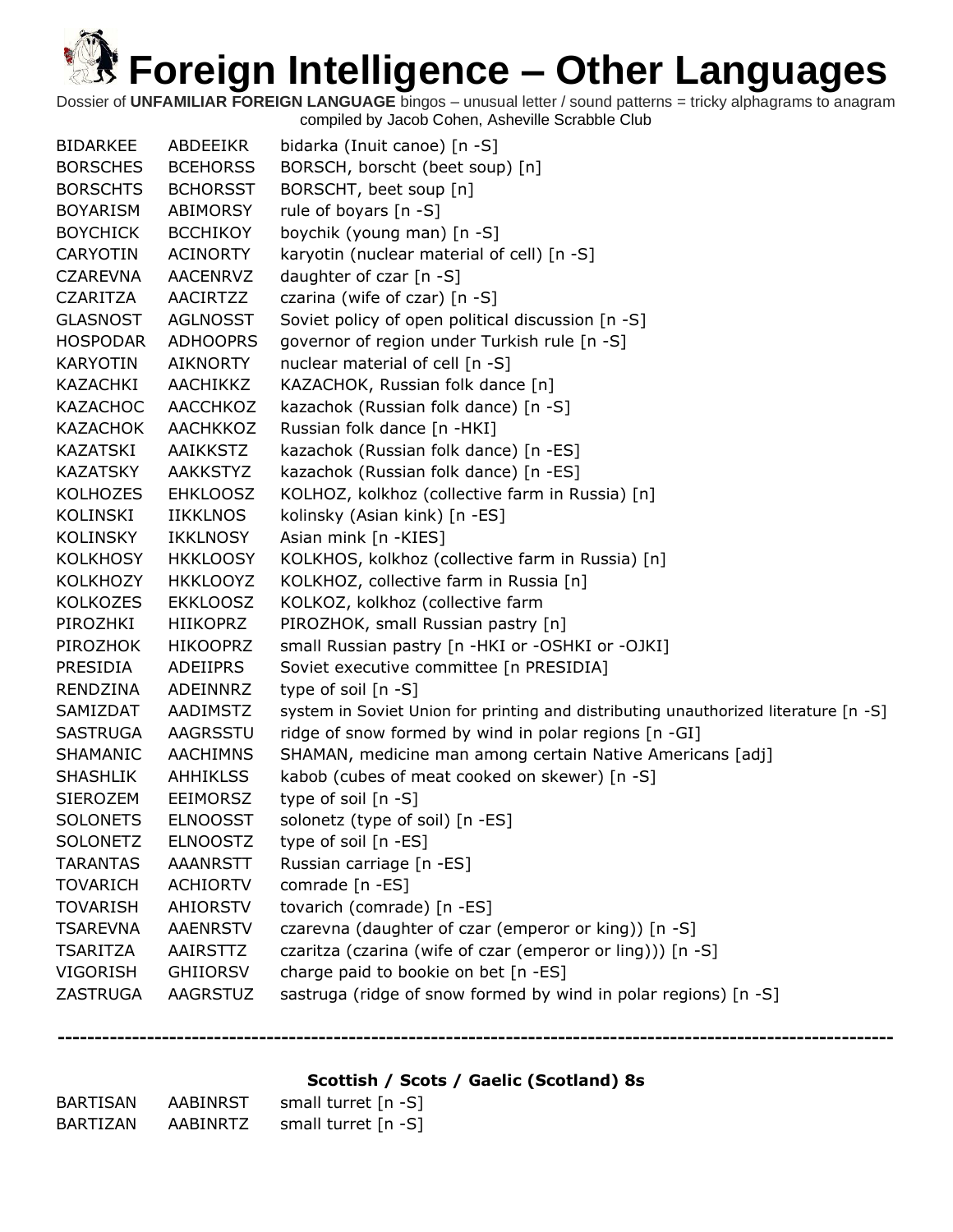Dossier of **UNFAMILIAR FOREIGN LANGUAGE** bingos – unusual letter / sound patterns = tricky alphagrams to anagram compiled by Jacob Cohen, Asheville Scrabble Club

| <b>BIDARKEE</b> | ABDEEIKR        | bidarka (Inuit canoe) [n -S]                                                        |
|-----------------|-----------------|-------------------------------------------------------------------------------------|
| <b>BORSCHES</b> | <b>BCEHORSS</b> | BORSCH, borscht (beet soup) [n]                                                     |
| <b>BORSCHTS</b> | <b>BCHORSST</b> | BORSCHT, beet soup [n]                                                              |
| <b>BOYARISM</b> | <b>ABIMORSY</b> | rule of boyars [n -S]                                                               |
| <b>BOYCHICK</b> | <b>BCCHIKOY</b> | boychik (young man) [n -S]                                                          |
| <b>CARYOTIN</b> | <b>ACINORTY</b> | karyotin (nuclear material of cell) [n -S]                                          |
| <b>CZAREVNA</b> | AACENRVZ        | daughter of czar [n -S]                                                             |
| <b>CZARITZA</b> | AACIRTZZ        | czarina (wife of czar) [n -S]                                                       |
| <b>GLASNOST</b> | <b>AGLNOSST</b> | Soviet policy of open political discussion [n -S]                                   |
| <b>HOSPODAR</b> | <b>ADHOOPRS</b> | governor of region under Turkish rule [n -S]                                        |
| <b>KARYOTIN</b> | <b>AIKNORTY</b> | nuclear material of cell [n -S]                                                     |
| KAZACHKI        | AACHIKKZ        | KAZACHOK, Russian folk dance [n]                                                    |
| <b>KAZACHOC</b> | AACCHKOZ        | kazachok (Russian folk dance) [n -S]                                                |
| <b>KAZACHOK</b> | AACHKKOZ        | Russian folk dance [n -HKI]                                                         |
| <b>KAZATSKI</b> | AAIKKSTZ        | kazachok (Russian folk dance) [n -ES]                                               |
| <b>KAZATSKY</b> | <b>AAKKSTYZ</b> | kazachok (Russian folk dance) [n -ES]                                               |
| <b>KOLHOZES</b> | <b>EHKLOOSZ</b> | KOLHOZ, kolkhoz (collective farm in Russia) [n]                                     |
| KOLINSKI        | <b>IIKKLNOS</b> | kolinsky (Asian kink) [n -ES]                                                       |
| <b>KOLINSKY</b> | IKKLNOSY        | Asian mink [n -KIES]                                                                |
| <b>KOLKHOSY</b> | <b>HKKLOOSY</b> | KOLKHOS, kolkhoz (collective farm in Russia) [n]                                    |
| <b>KOLKHOZY</b> | <b>HKKLOOYZ</b> | KOLKHOZ, collective farm in Russia [n]                                              |
| <b>KOLKOZES</b> | <b>EKKLOOSZ</b> | KOLKOZ, kolkhoz (collective farm                                                    |
| PIROZHKI        | <b>HIIKOPRZ</b> | PIROZHOK, small Russian pastry [n]                                                  |
| PIROZHOK        | <b>HIKOOPRZ</b> | small Russian pastry [n -HKI or -OSHKI or -OJKI]                                    |
| PRESIDIA        | ADEIIPRS        | Soviet executive committee [n PRESIDIA]                                             |
| RENDZINA        | ADEINNRZ        | type of soil $[n -S]$                                                               |
| SAMIZDAT        | AADIMSTZ        | system in Soviet Union for printing and distributing unauthorized literature [n -S] |
| <b>SASTRUGA</b> | AAGRSSTU        | ridge of snow formed by wind in polar regions [n -GI]                               |
| SHAMANIC        | <b>AACHIMNS</b> | SHAMAN, medicine man among certain Native Americans [adj]                           |
| <b>SHASHLIK</b> | <b>AHHIKLSS</b> | kabob (cubes of meat cooked on skewer) [n -S]                                       |
| SIEROZEM        | <b>EEIMORSZ</b> | type of soil [n -S]                                                                 |
| <b>SOLONETS</b> | <b>ELNOOSST</b> | solonetz (type of soil) [n -ES]                                                     |
| <b>SOLONETZ</b> | <b>ELNOOSTZ</b> | type of soil [n -ES]                                                                |
| <b>TARANTAS</b> | <b>AAANRSTT</b> | Russian carriage [n -ES]                                                            |
| <b>TOVARICH</b> | <b>ACHIORTV</b> | comrade [n -ES]                                                                     |
| <b>TOVARISH</b> | <b>AHIORSTV</b> | tovarich (comrade) [n -ES]                                                          |
| <b>TSAREVNA</b> | <b>AAENRSTV</b> | czarevna (daughter of czar (emperor or king)) [n -S]                                |
| <b>TSARITZA</b> | AAIRSTTZ        | czaritza (czarina (wife of czar (emperor or ling))) [n -S]                          |
| <b>VIGORISH</b> | <b>GHIIORSV</b> | charge paid to bookie on bet [n -ES]                                                |
| ZASTRUGA        | <b>AAGRSTUZ</b> | sastruga (ridge of snow formed by wind in polar regions) [n -S]                     |
|                 |                 |                                                                                     |

**Scottish / Scots / Gaelic (Scotland) 8s**

| BARTISAN | <b>AABINRST</b> | small turret $[n - S]$ |
|----------|-----------------|------------------------|
| BARTIZAN | AABINRTZ        | small turret $[n - S]$ |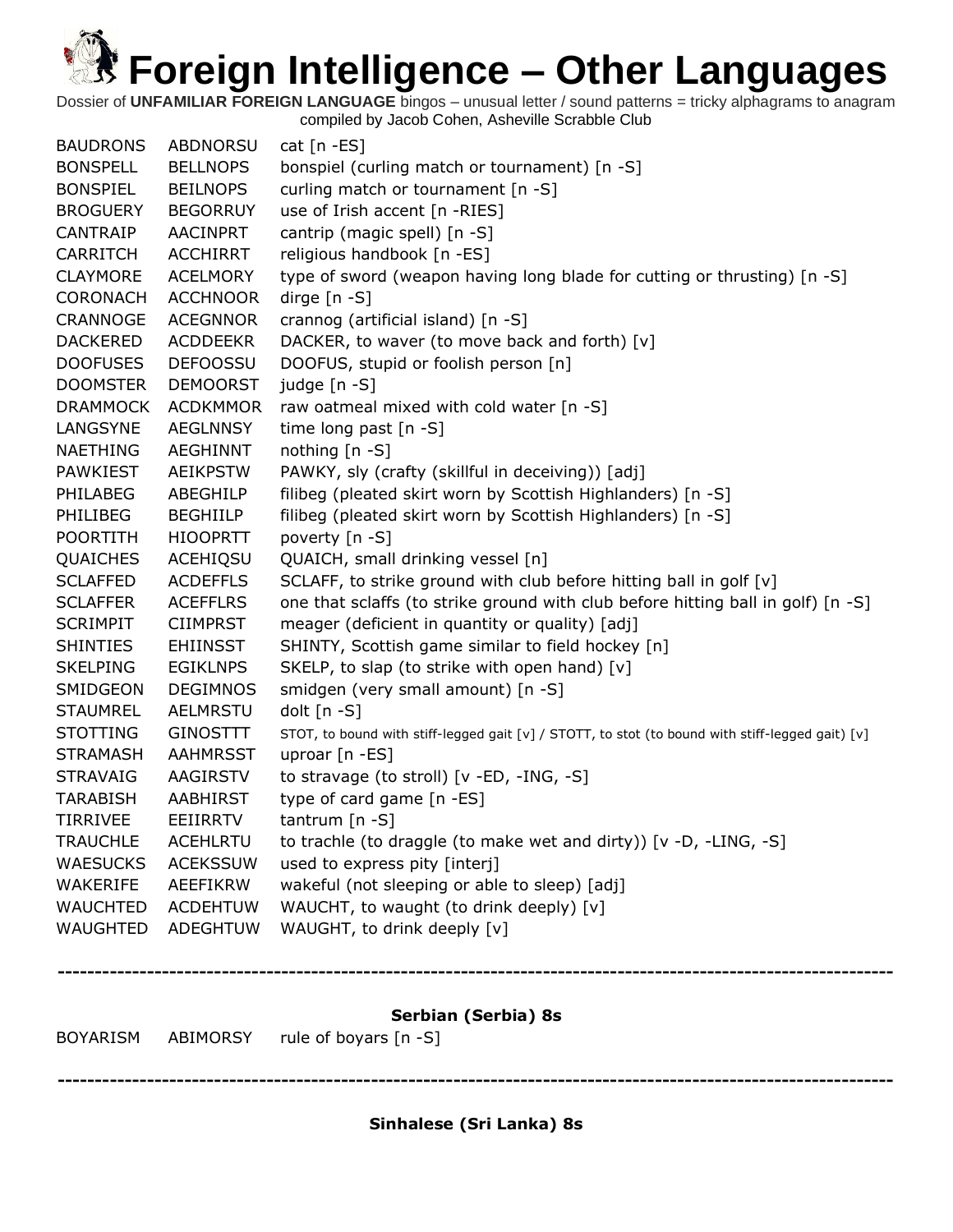Dossier of **UNFAMILIAR FOREIGN LANGUAGE** bingos – unusual letter / sound patterns = tricky alphagrams to anagram compiled by Jacob Cohen, Asheville Scrabble Club

|                 |                 | <b>ROVADICM</b> ARIMORCY rule of boyard In C1                                                    |
|-----------------|-----------------|--------------------------------------------------------------------------------------------------|
|                 |                 | Serbian (Serbia) 8s                                                                              |
|                 |                 |                                                                                                  |
| WAUGHTED        | ADEGHTUW        | WAUGHT, to drink deeply [v]                                                                      |
| <b>WAUCHTED</b> | <b>ACDEHTUW</b> | WAUCHT, to waught (to drink deeply) [v]                                                          |
| WAKERIFE        | AEEFIKRW        | wakeful (not sleeping or able to sleep) [adj]                                                    |
| <b>WAESUCKS</b> | <b>ACEKSSUW</b> | used to express pity [interj]                                                                    |
| <b>TRAUCHLE</b> | <b>ACEHLRTU</b> | to trachle (to draggle (to make wet and dirty)) [v -D, -LING, -S]                                |
| <b>TIRRIVEE</b> | <b>EEIIRRTV</b> | tantrum $[n - S]$                                                                                |
| <b>TARABISH</b> | AABHIRST        | type of card game [n -ES]                                                                        |
| <b>STRAVAIG</b> | AAGIRSTV        | to stravage (to stroll) [v -ED, -ING, -S]                                                        |
| <b>STRAMASH</b> | <b>AAHMRSST</b> | uproar [n -ES]                                                                                   |
| <b>STOTTING</b> | <b>GINOSTTT</b> | STOT, to bound with stiff-legged gait [v] / STOTT, to stot (to bound with stiff-legged gait) [v] |
| <b>STAUMREL</b> | <b>AELMRSTU</b> | dolt $[n - S]$                                                                                   |
| SMIDGEON        | <b>DEGIMNOS</b> | smidgen (very small amount) [n -S]                                                               |
| <b>SKELPING</b> | <b>EGIKLNPS</b> | SKELP, to slap (to strike with open hand) [v]                                                    |
| <b>SHINTIES</b> | <b>EHIINSST</b> | SHINTY, Scottish game similar to field hockey [n]                                                |
| <b>SCRIMPIT</b> | <b>CIIMPRST</b> | meager (deficient in quantity or quality) [adj]                                                  |
| <b>SCLAFFER</b> | <b>ACEFFLRS</b> | one that sclaffs (to strike ground with club before hitting ball in golf) [n -S]                 |
| <b>SCLAFFED</b> | <b>ACDEFFLS</b> | SCLAFF, to strike ground with club before hitting ball in golf [v]                               |
| QUAICHES        | ACEHIQSU        | QUAICH, small drinking vessel [n]                                                                |
| <b>POORTITH</b> | <b>HIOOPRTT</b> | poverty [n -S]                                                                                   |
| PHILIBEG        | <b>BEGHIILP</b> | filibeg (pleated skirt worn by Scottish Highlanders) [n -S]                                      |
| PHILABEG        | ABEGHILP        | filibeg (pleated skirt worn by Scottish Highlanders) [n -S]                                      |
| <b>PAWKIEST</b> | <b>AEIKPSTW</b> | PAWKY, sly (crafty (skillful in deceiving)) [adj]                                                |
| <b>NAETHING</b> | <b>AEGHINNT</b> | nothing $[n - S]$                                                                                |
| LANGSYNE        | <b>AEGLNNSY</b> | time long past [n -S]                                                                            |
| <b>DRAMMOCK</b> | <b>ACDKMMOR</b> | raw oatmeal mixed with cold water [n -S]                                                         |
| <b>DOOMSTER</b> | <b>DEMOORST</b> | judge [n -S]                                                                                     |
| <b>DOOFUSES</b> | <b>DEFOOSSU</b> | DOOFUS, stupid or foolish person [n]                                                             |
| <b>DACKERED</b> | <b>ACDDEEKR</b> | DACKER, to waver (to move back and forth) [v]                                                    |
| CRANNOGE        | <b>ACEGNNOR</b> | crannog (artificial island) [n -S]                                                               |
| <b>CORONACH</b> | <b>ACCHNOOR</b> | dirge $[n - S]$                                                                                  |
| <b>CLAYMORE</b> | <b>ACELMORY</b> | type of sword (weapon having long blade for cutting or thrusting) [n -S]                         |
| <b>CARRITCH</b> | <b>ACCHIRRT</b> | religious handbook [n -ES]                                                                       |
| CANTRAIP        | <b>AACINPRT</b> | cantrip (magic spell) [n -S]                                                                     |
| <b>BROGUERY</b> | <b>BEGORRUY</b> | use of Irish accent [n -RIES]                                                                    |
| <b>BONSPIEL</b> | <b>BEILNOPS</b> | curling match or tournament [n -S]                                                               |
| <b>BONSPELL</b> | <b>BELLNOPS</b> | bonspiel (curling match or tournament) [n -S]                                                    |
| <b>BAUDRONS</b> | <b>ABDNORSU</b> | cat $[n - ES]$                                                                                   |

```
BOYARISM ABIMORSY rule of boyars [n -S]
```
**----------------------------------------------------------------------------------------------------------------**

**Sinhalese (Sri Lanka) 8s**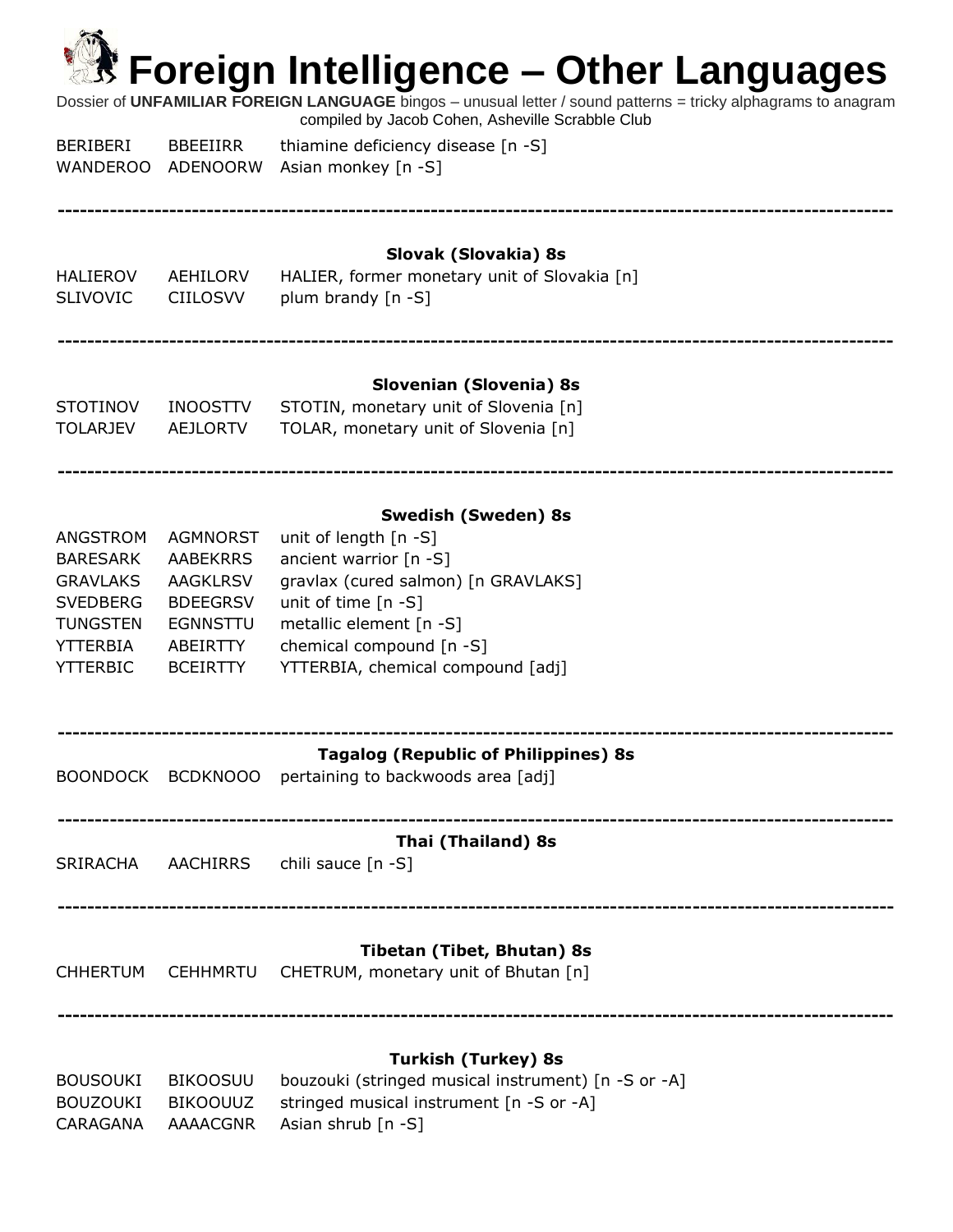| <b>K</b> Foreign Intelligence – Other Languages<br>Dossier of UNFAMILIAR FOREIGN LANGUAGE bingos - unusual letter / sound patterns = tricky alphagrams to anagram<br>compiled by Jacob Cohen, Asheville Scrabble Club |                                                                                                                     |                                                                                                                                                                                                                                            |  |  |
|-----------------------------------------------------------------------------------------------------------------------------------------------------------------------------------------------------------------------|---------------------------------------------------------------------------------------------------------------------|--------------------------------------------------------------------------------------------------------------------------------------------------------------------------------------------------------------------------------------------|--|--|
| <b>BERIBERI</b><br><b>WANDEROO</b>                                                                                                                                                                                    | <b>BBEEIIRR</b><br>ADENOORW                                                                                         | thiamine deficiency disease [n -S]<br>Asian monkey [n -S]                                                                                                                                                                                  |  |  |
| HALIEROV<br><b>SLIVOVIC</b>                                                                                                                                                                                           | AEHILORV<br><b>CIILOSVV</b>                                                                                         | Slovak (Slovakia) 8s<br>HALIER, former monetary unit of Slovakia [n]<br>plum brandy [n -S]                                                                                                                                                 |  |  |
| <b>STOTINOV</b><br><b>TOLARJEV</b>                                                                                                                                                                                    | <b>INOOSTTV</b><br><b>AEJLORTV</b>                                                                                  | Slovenian (Slovenia) 8s<br>STOTIN, monetary unit of Slovenia [n]<br>TOLAR, monetary unit of Slovenia [n]                                                                                                                                   |  |  |
| ANGSTROM<br><b>BARESARK</b><br><b>GRAVLAKS</b><br><b>SVEDBERG</b><br><b>TUNGSTEN</b><br><b>YTTERBIA</b><br><b>YTTERBIC</b>                                                                                            | AGMNORST<br><b>AABEKRRS</b><br><b>AAGKLRSV</b><br><b>BDEEGRSV</b><br><b>EGNNSTTU</b><br>ABEIRTTY<br><b>BCEIRTTY</b> | <b>Swedish (Sweden) 8s</b><br>unit of length [n -S]<br>ancient warrior [n -S]<br>gravlax (cured salmon) [n GRAVLAKS]<br>unit of time $[n - S]$<br>metallic element [n -S]<br>chemical compound [n -S]<br>YTTERBIA, chemical compound [adj] |  |  |
| <b>BOONDOCK</b>                                                                                                                                                                                                       | <b>BCDKNOOO</b>                                                                                                     | <b>Tagalog (Republic of Philippines) 8s</b><br>pertaining to backwoods area [adj]                                                                                                                                                          |  |  |
| <b>SRIRACHA</b>                                                                                                                                                                                                       | AACHIRRS                                                                                                            | Thai (Thailand) 8s<br>chili sauce [n -S]                                                                                                                                                                                                   |  |  |
| <b>CHHERTUM</b>                                                                                                                                                                                                       | <b>CEHHMRTU</b>                                                                                                     | <b>Tibetan (Tibet, Bhutan) 8s</b><br>CHETRUM, monetary unit of Bhutan [n]                                                                                                                                                                  |  |  |

#### **Turkish (Turkey) 8s**

| BOUSOUKI | BIKOOSUU | bouzouki (stringed musical instrument) [n -S or -A]        |
|----------|----------|------------------------------------------------------------|
|          |          | BOUZOUKI BIKOOUUZ stringed musical instrument [n -S or -A] |
|          |          | CARAGANA AAAACGNR Asian shrub [n -S]                       |